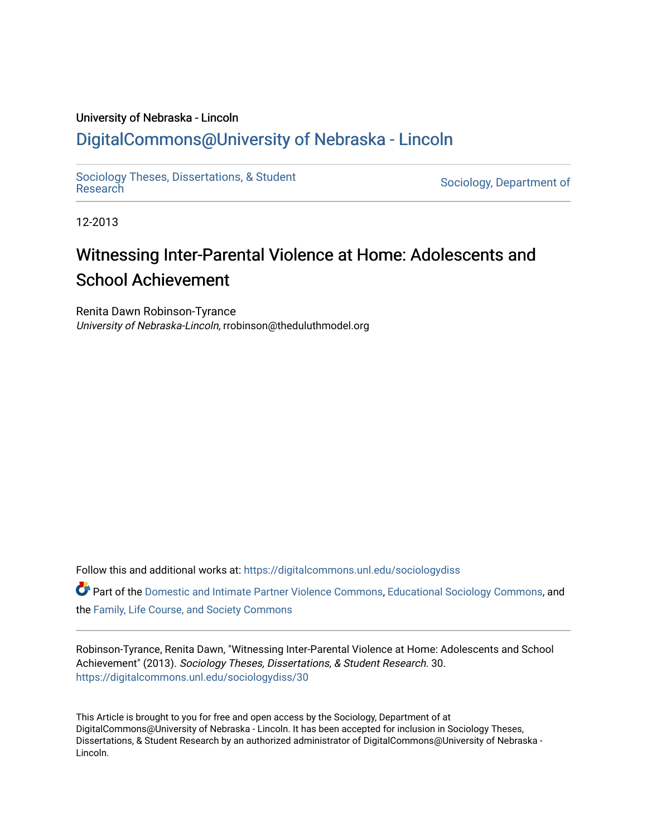# University of Nebraska - Lincoln [DigitalCommons@University of Nebraska - Lincoln](https://digitalcommons.unl.edu/)

[Sociology Theses, Dissertations, & Student](https://digitalcommons.unl.edu/sociologydiss)

Sociology, Department of

12-2013

# Witnessing Inter-Parental Violence at Home: Adolescents and School Achievement

Renita Dawn Robinson-Tyrance University of Nebraska-Lincoln, rrobinson@theduluthmodel.org

Follow this and additional works at: [https://digitalcommons.unl.edu/sociologydiss](https://digitalcommons.unl.edu/sociologydiss?utm_source=digitalcommons.unl.edu%2Fsociologydiss%2F30&utm_medium=PDF&utm_campaign=PDFCoverPages) 

| $\bullet$ Part of the Domestic and Intimate Partner Violence Commons, Educational Sociology Commons, and |  |
|----------------------------------------------------------------------------------------------------------|--|
| the Family, Life Course, and Society Commons                                                             |  |

Robinson-Tyrance, Renita Dawn, "Witnessing Inter-Parental Violence at Home: Adolescents and School Achievement" (2013). Sociology Theses, Dissertations, & Student Research. 30. [https://digitalcommons.unl.edu/sociologydiss/30](https://digitalcommons.unl.edu/sociologydiss/30?utm_source=digitalcommons.unl.edu%2Fsociologydiss%2F30&utm_medium=PDF&utm_campaign=PDFCoverPages)

This Article is brought to you for free and open access by the Sociology, Department of at DigitalCommons@University of Nebraska - Lincoln. It has been accepted for inclusion in Sociology Theses, Dissertations, & Student Research by an authorized administrator of DigitalCommons@University of Nebraska -Lincoln.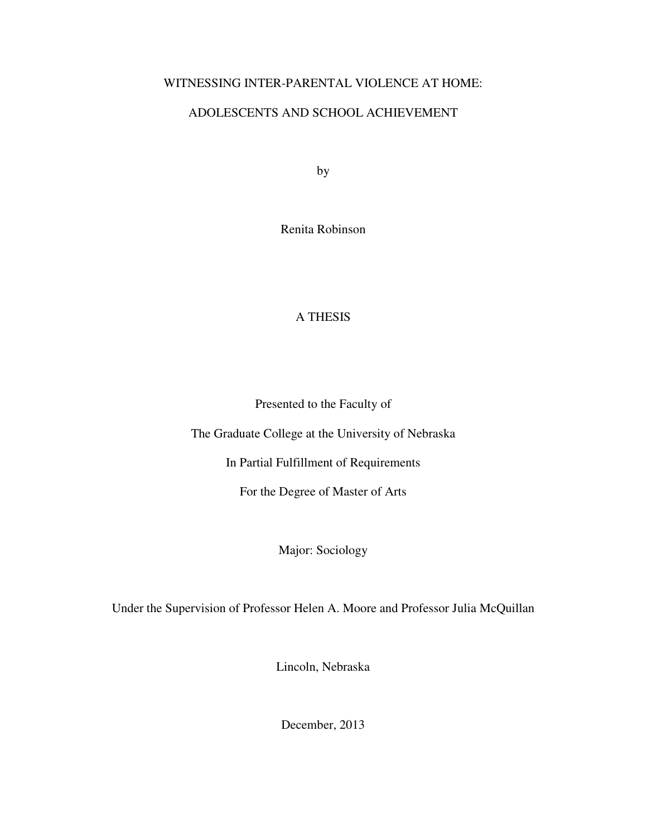## WITNESSING INTER-PARENTAL VIOLENCE AT HOME:

# ADOLESCENTS AND SCHOOL ACHIEVEMENT

by

Renita Robinson

# A THESIS

Presented to the Faculty of

The Graduate College at the University of Nebraska

In Partial Fulfillment of Requirements

For the Degree of Master of Arts

Major: Sociology

Under the Supervision of Professor Helen A. Moore and Professor Julia McQuillan

Lincoln, Nebraska

December, 2013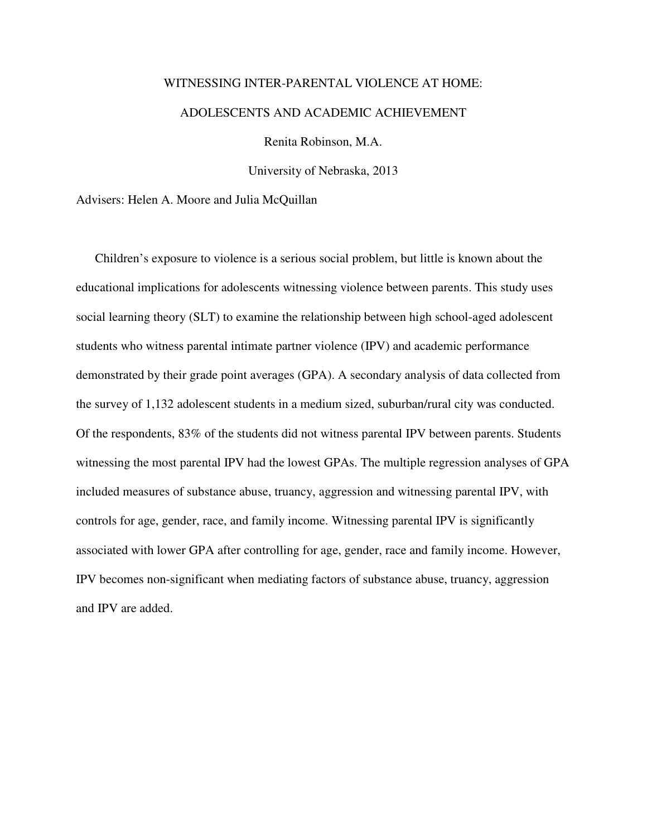# WITNESSING INTER-PARENTAL VIOLENCE AT HOME: ADOLESCENTS AND ACADEMIC ACHIEVEMENT

Renita Robinson, M.A.

University of Nebraska, 2013

Advisers: Helen A. Moore and Julia McQuillan

Children's exposure to violence is a serious social problem, but little is known about the educational implications for adolescents witnessing violence between parents. This study uses social learning theory (SLT) to examine the relationship between high school-aged adolescent students who witness parental intimate partner violence (IPV) and academic performance demonstrated by their grade point averages (GPA). A secondary analysis of data collected from the survey of 1,132 adolescent students in a medium sized, suburban/rural city was conducted. Of the respondents, 83% of the students did not witness parental IPV between parents. Students witnessing the most parental IPV had the lowest GPAs. The multiple regression analyses of GPA included measures of substance abuse, truancy, aggression and witnessing parental IPV, with controls for age, gender, race, and family income. Witnessing parental IPV is significantly associated with lower GPA after controlling for age, gender, race and family income. However, IPV becomes non-significant when mediating factors of substance abuse, truancy, aggression and IPV are added.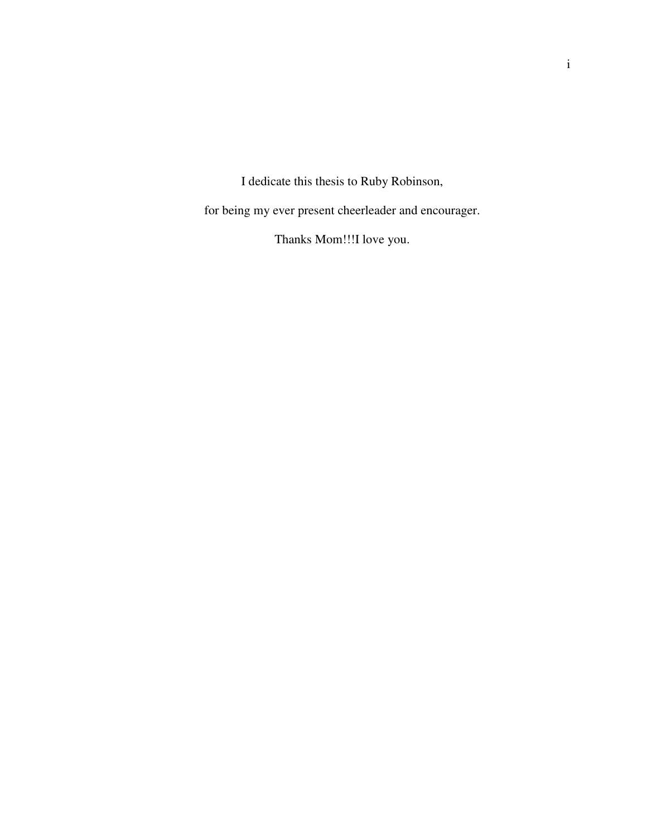I dedicate this thesis to Ruby Robinson,

for being my ever present cheerleader and encourager.

Thanks Mom!!!I love you.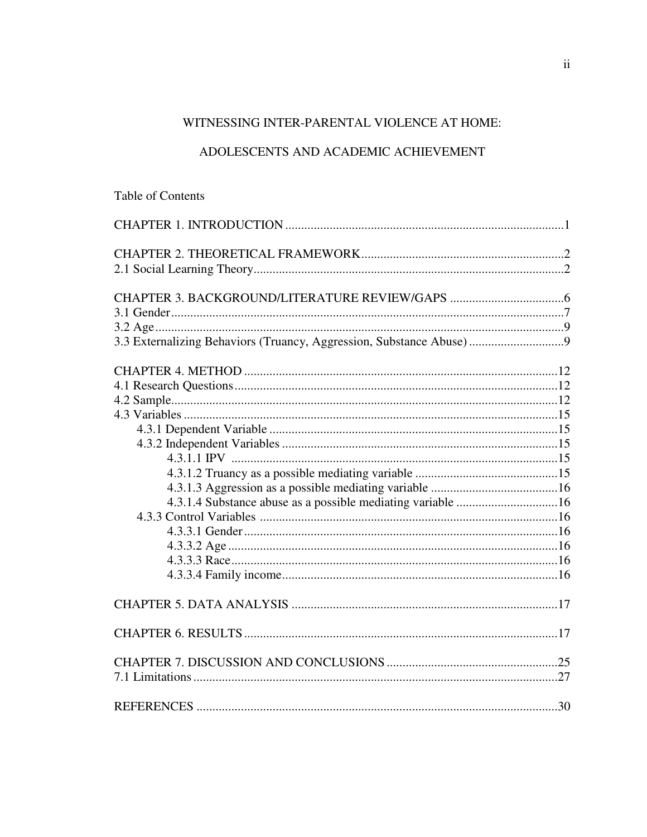# WITNESSING INTER-PARENTAL VIOLENCE AT HOME:

### ADOLESCENTS AND ACADEMIC ACHIEVEMENT

# Table of Contents

| 3.3 Externalizing Behaviors (Truancy, Aggression, Substance Abuse) |  |
|--------------------------------------------------------------------|--|
|                                                                    |  |
|                                                                    |  |
|                                                                    |  |
|                                                                    |  |
|                                                                    |  |
|                                                                    |  |
|                                                                    |  |
|                                                                    |  |
|                                                                    |  |
|                                                                    |  |
|                                                                    |  |
|                                                                    |  |
|                                                                    |  |
|                                                                    |  |
|                                                                    |  |
|                                                                    |  |
|                                                                    |  |
|                                                                    |  |
|                                                                    |  |
|                                                                    |  |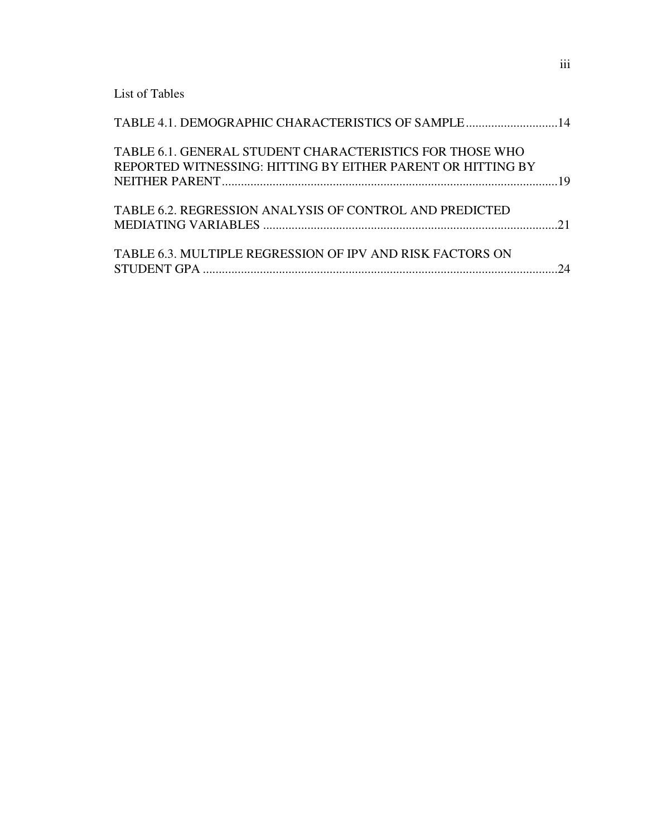List of Tables

| TABLE 4.1. DEMOGRAPHIC CHARACTERISTICS OF SAMPLE 14                                                                     |  |
|-------------------------------------------------------------------------------------------------------------------------|--|
| TABLE 6.1. GENERAL STUDENT CHARACTERISTICS FOR THOSE WHO<br>REPORTED WITNESSING: HITTING BY EITHER PARENT OR HITTING BY |  |
| TABLE 6.2. REGRESSION ANALYSIS OF CONTROL AND PREDICTED                                                                 |  |
| TABLE 6.3. MULTIPLE REGRESSION OF IPV AND RISK FACTORS ON                                                               |  |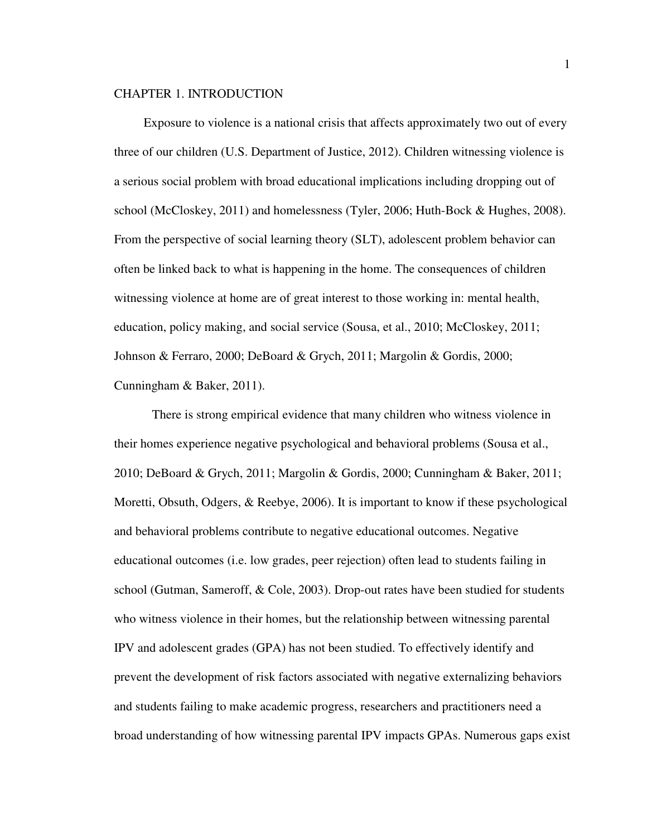#### CHAPTER 1. INTRODUCTION

 Exposure to violence is a national crisis that affects approximately two out of every three of our children (U.S. Department of Justice, 2012). Children witnessing violence is a serious social problem with broad educational implications including dropping out of school (McCloskey, 2011) and homelessness (Tyler, 2006; Huth-Bock & Hughes, 2008). From the perspective of social learning theory (SLT), adolescent problem behavior can often be linked back to what is happening in the home. The consequences of children witnessing violence at home are of great interest to those working in: mental health, education, policy making, and social service (Sousa, et al., 2010; McCloskey, 2011; Johnson & Ferraro, 2000; DeBoard & Grych, 2011; Margolin & Gordis, 2000; Cunningham & Baker, 2011).

There is strong empirical evidence that many children who witness violence in their homes experience negative psychological and behavioral problems (Sousa et al., 2010; DeBoard & Grych, 2011; Margolin & Gordis, 2000; Cunningham & Baker, 2011; Moretti, Obsuth, Odgers, & Reebye, 2006). It is important to know if these psychological and behavioral problems contribute to negative educational outcomes. Negative educational outcomes (i.e. low grades, peer rejection) often lead to students failing in school (Gutman, Sameroff, & Cole, 2003). Drop-out rates have been studied for students who witness violence in their homes, but the relationship between witnessing parental IPV and adolescent grades (GPA) has not been studied. To effectively identify and prevent the development of risk factors associated with negative externalizing behaviors and students failing to make academic progress, researchers and practitioners need a broad understanding of how witnessing parental IPV impacts GPAs. Numerous gaps exist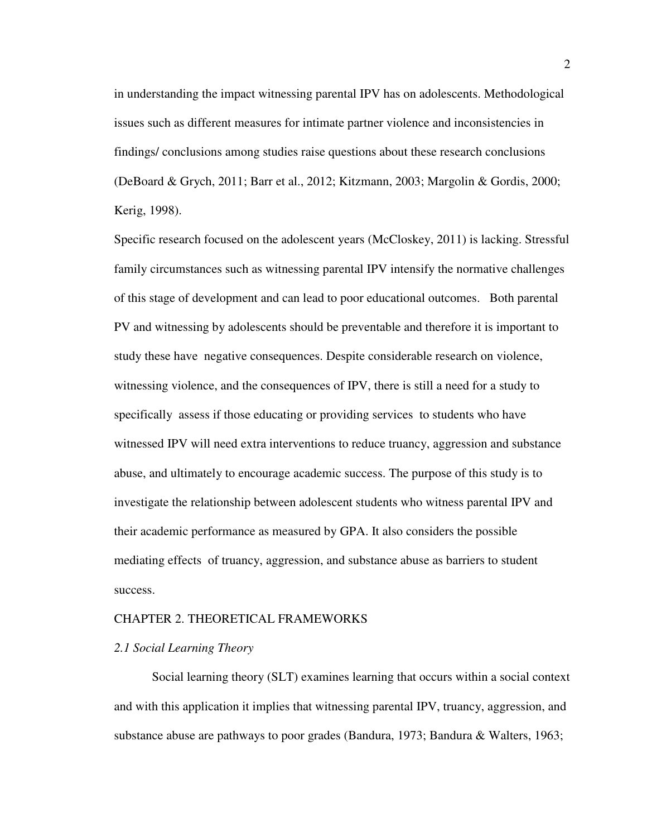in understanding the impact witnessing parental IPV has on adolescents. Methodological issues such as different measures for intimate partner violence and inconsistencies in findings/ conclusions among studies raise questions about these research conclusions (DeBoard & Grych, 2011; Barr et al., 2012; Kitzmann, 2003; Margolin & Gordis, 2000; Kerig, 1998).

Specific research focused on the adolescent years (McCloskey, 2011) is lacking. Stressful family circumstances such as witnessing parental IPV intensify the normative challenges of this stage of development and can lead to poor educational outcomes. Both parental PV and witnessing by adolescents should be preventable and therefore it is important to study these have negative consequences. Despite considerable research on violence, witnessing violence, and the consequences of IPV, there is still a need for a study to specifically assess if those educating or providing services to students who have witnessed IPV will need extra interventions to reduce truancy, aggression and substance abuse, and ultimately to encourage academic success. The purpose of this study is to investigate the relationship between adolescent students who witness parental IPV and their academic performance as measured by GPA. It also considers the possible mediating effects of truancy, aggression, and substance abuse as barriers to student success.

#### CHAPTER 2. THEORETICAL FRAMEWORKS

#### *2.1 Social Learning Theory*

Social learning theory (SLT) examines learning that occurs within a social context and with this application it implies that witnessing parental IPV, truancy, aggression, and substance abuse are pathways to poor grades (Bandura, 1973; Bandura & Walters, 1963;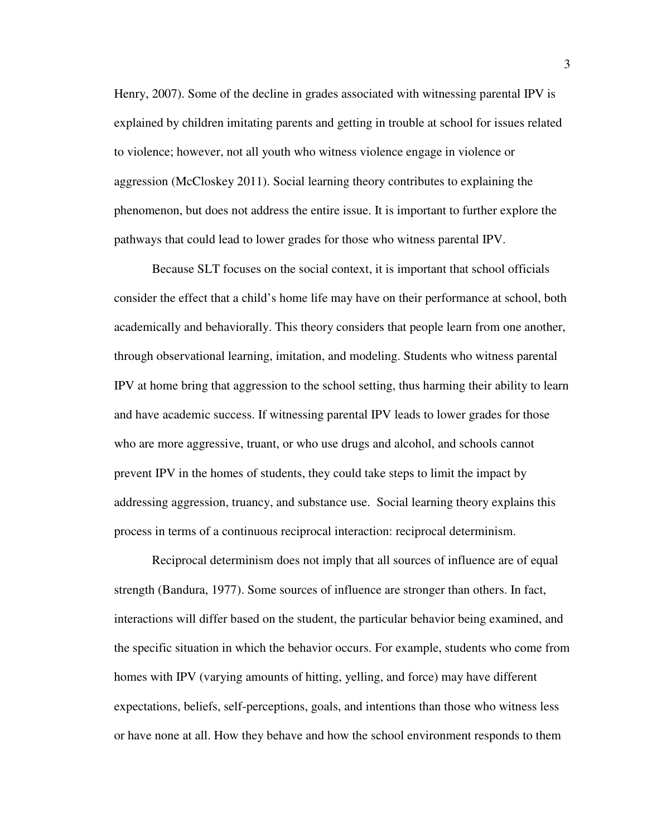Henry, 2007). Some of the decline in grades associated with witnessing parental IPV is explained by children imitating parents and getting in trouble at school for issues related to violence; however, not all youth who witness violence engage in violence or aggression (McCloskey 2011). Social learning theory contributes to explaining the phenomenon, but does not address the entire issue. It is important to further explore the pathways that could lead to lower grades for those who witness parental IPV.

Because SLT focuses on the social context, it is important that school officials consider the effect that a child's home life may have on their performance at school, both academically and behaviorally. This theory considers that people learn from one another, through observational learning, imitation, and modeling. Students who witness parental IPV at home bring that aggression to the school setting, thus harming their ability to learn and have academic success. If witnessing parental IPV leads to lower grades for those who are more aggressive, truant, or who use drugs and alcohol, and schools cannot prevent IPV in the homes of students, they could take steps to limit the impact by addressing aggression, truancy, and substance use. Social learning theory explains this process in terms of a continuous reciprocal interaction: reciprocal determinism.

Reciprocal determinism does not imply that all sources of influence are of equal strength (Bandura, 1977). Some sources of influence are stronger than others. In fact, interactions will differ based on the student, the particular behavior being examined, and the specific situation in which the behavior occurs. For example, students who come from homes with IPV (varying amounts of hitting, yelling, and force) may have different expectations, beliefs, self-perceptions, goals, and intentions than those who witness less or have none at all. How they behave and how the school environment responds to them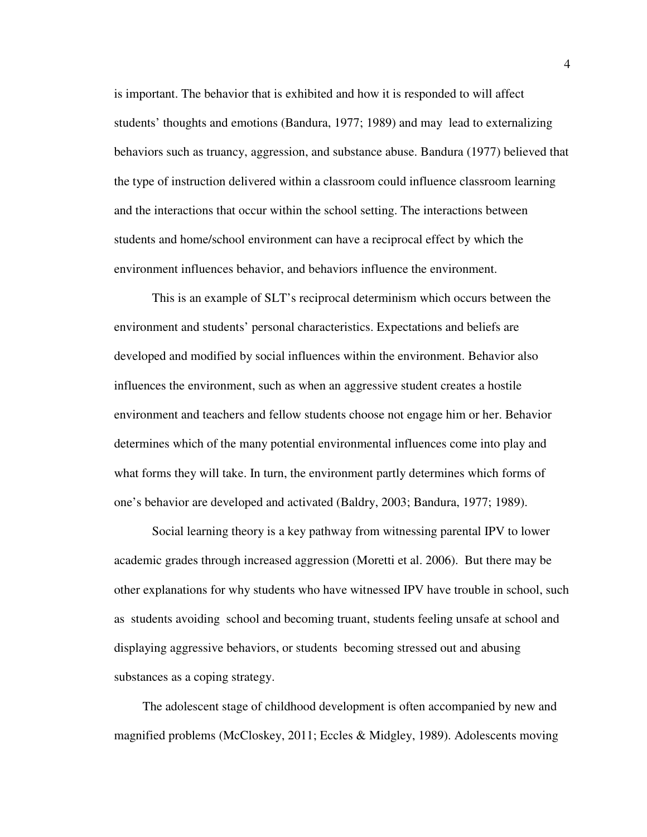is important. The behavior that is exhibited and how it is responded to will affect students' thoughts and emotions (Bandura, 1977; 1989) and may lead to externalizing behaviors such as truancy, aggression, and substance abuse. Bandura (1977) believed that the type of instruction delivered within a classroom could influence classroom learning and the interactions that occur within the school setting. The interactions between students and home/school environment can have a reciprocal effect by which the environment influences behavior, and behaviors influence the environment.

This is an example of SLT's reciprocal determinism which occurs between the environment and students' personal characteristics. Expectations and beliefs are developed and modified by social influences within the environment. Behavior also influences the environment, such as when an aggressive student creates a hostile environment and teachers and fellow students choose not engage him or her. Behavior determines which of the many potential environmental influences come into play and what forms they will take. In turn, the environment partly determines which forms of one's behavior are developed and activated (Baldry, 2003; Bandura, 1977; 1989).

Social learning theory is a key pathway from witnessing parental IPV to lower academic grades through increased aggression (Moretti et al. 2006). But there may be other explanations for why students who have witnessed IPV have trouble in school, such as students avoiding school and becoming truant, students feeling unsafe at school and displaying aggressive behaviors, or students becoming stressed out and abusing substances as a coping strategy.

The adolescent stage of childhood development is often accompanied by new and magnified problems (McCloskey, 2011; Eccles & Midgley, 1989). Adolescents moving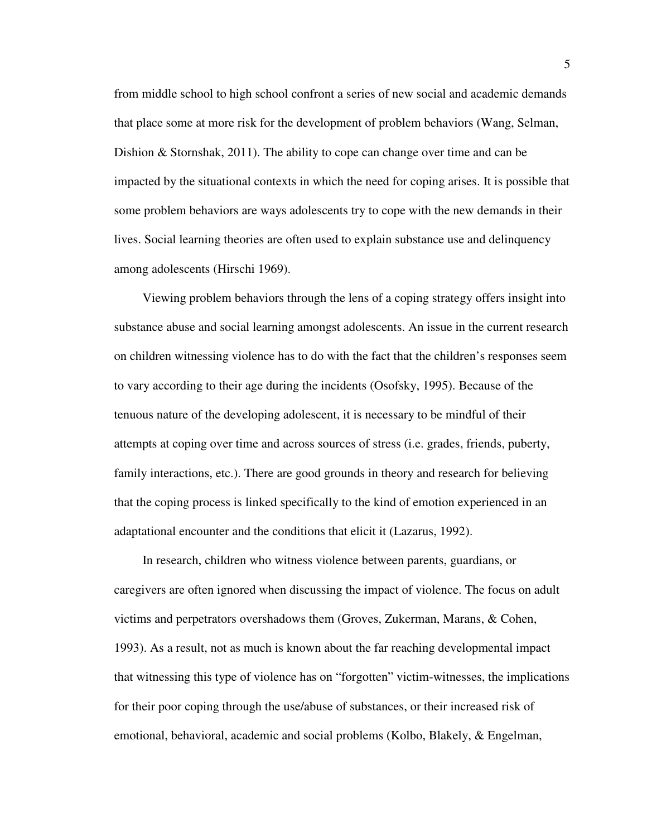from middle school to high school confront a series of new social and academic demands that place some at more risk for the development of problem behaviors (Wang, Selman, Dishion & Stornshak, 2011). The ability to cope can change over time and can be impacted by the situational contexts in which the need for coping arises. It is possible that some problem behaviors are ways adolescents try to cope with the new demands in their lives. Social learning theories are often used to explain substance use and delinquency among adolescents (Hirschi 1969).

Viewing problem behaviors through the lens of a coping strategy offers insight into substance abuse and social learning amongst adolescents. An issue in the current research on children witnessing violence has to do with the fact that the children's responses seem to vary according to their age during the incidents (Osofsky, 1995). Because of the tenuous nature of the developing adolescent, it is necessary to be mindful of their attempts at coping over time and across sources of stress (i.e. grades, friends, puberty, family interactions, etc.). There are good grounds in theory and research for believing that the coping process is linked specifically to the kind of emotion experienced in an adaptational encounter and the conditions that elicit it (Lazarus, 1992).

In research, children who witness violence between parents, guardians, or caregivers are often ignored when discussing the impact of violence. The focus on adult victims and perpetrators overshadows them (Groves, Zukerman, Marans, & Cohen, 1993). As a result, not as much is known about the far reaching developmental impact that witnessing this type of violence has on "forgotten" victim-witnesses, the implications for their poor coping through the use/abuse of substances, or their increased risk of emotional, behavioral, academic and social problems (Kolbo, Blakely, & Engelman,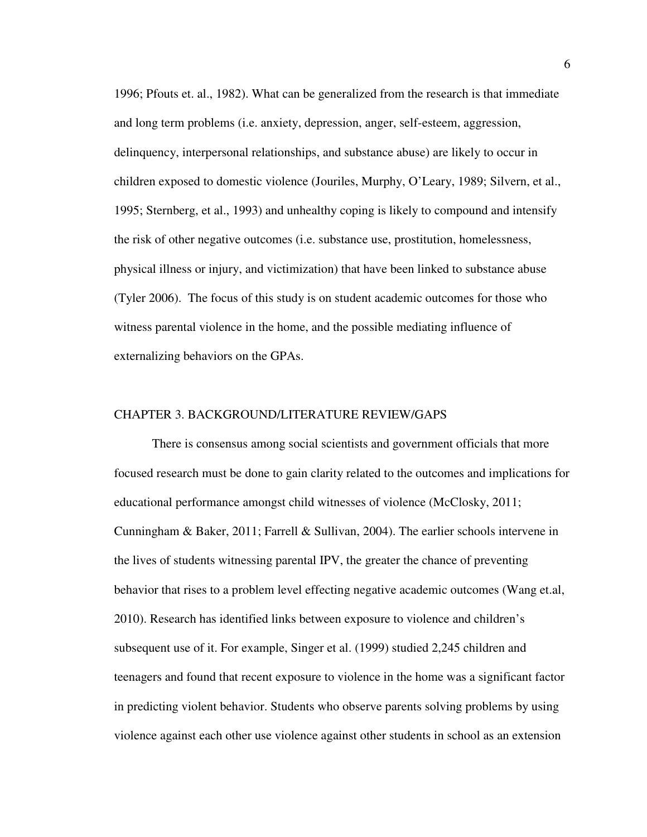1996; Pfouts et. al., 1982). What can be generalized from the research is that immediate and long term problems (i.e. anxiety, depression, anger, self-esteem, aggression, delinquency, interpersonal relationships, and substance abuse) are likely to occur in children exposed to domestic violence (Jouriles, Murphy, O'Leary, 1989; Silvern, et al., 1995; Sternberg, et al., 1993) and unhealthy coping is likely to compound and intensify the risk of other negative outcomes (i.e. substance use, prostitution, homelessness, physical illness or injury, and victimization) that have been linked to substance abuse (Tyler 2006). The focus of this study is on student academic outcomes for those who witness parental violence in the home, and the possible mediating influence of externalizing behaviors on the GPAs.

#### CHAPTER 3. BACKGROUND/LITERATURE REVIEW/GAPS

There is consensus among social scientists and government officials that more focused research must be done to gain clarity related to the outcomes and implications for educational performance amongst child witnesses of violence (McClosky, 2011; Cunningham & Baker, 2011; Farrell & Sullivan, 2004). The earlier schools intervene in the lives of students witnessing parental IPV, the greater the chance of preventing behavior that rises to a problem level effecting negative academic outcomes (Wang et.al, 2010). Research has identified links between exposure to violence and children's subsequent use of it. For example, Singer et al. (1999) studied 2,245 children and teenagers and found that recent exposure to violence in the home was a significant factor in predicting violent behavior. Students who observe parents solving problems by using violence against each other use violence against other students in school as an extension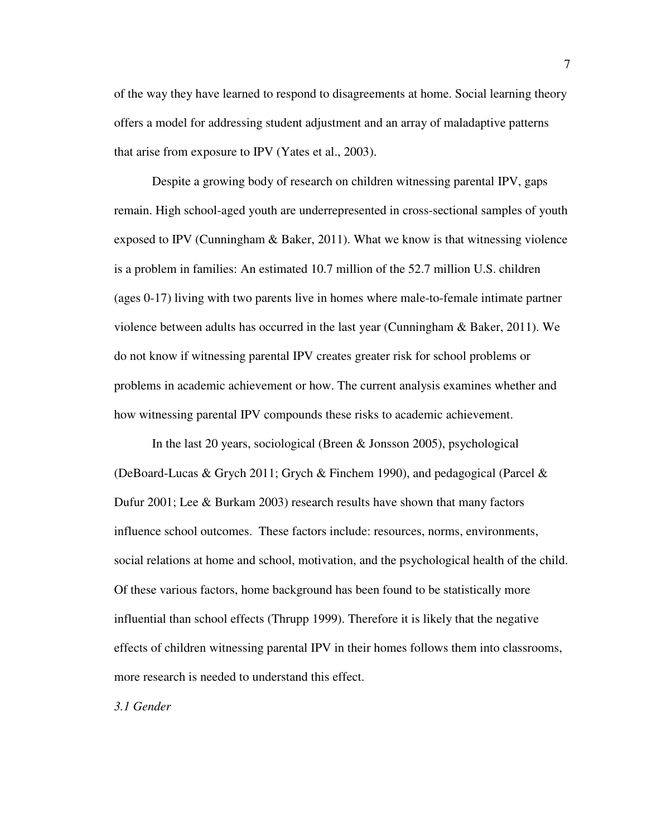of the way they have learned to respond to disagreements at home. Social learning theory offers a model for addressing student adjustment and an array of maladaptive patterns that arise from exposure to IPV (Yates et al., 2003).

Despite a growing body of research on children witnessing parental IPV, gaps remain. High school-aged youth are underrepresented in cross-sectional samples of youth exposed to IPV (Cunningham  $\&$  Baker, 2011). What we know is that witnessing violence is a problem in families: An estimated 10.7 million of the 52.7 million U.S. children (ages 0-17) living with two parents live in homes where male-to-female intimate partner violence between adults has occurred in the last year (Cunningham & Baker, 2011). We do not know if witnessing parental IPV creates greater risk for school problems or problems in academic achievement or how. The current analysis examines whether and how witnessing parental IPV compounds these risks to academic achievement.

In the last 20 years, sociological (Breen & Jonsson 2005), psychological (DeBoard-Lucas & Grych 2011; Grych & Finchem 1990), and pedagogical (Parcel & Dufur 2001; Lee & Burkam 2003) research results have shown that many factors influence school outcomes. These factors include: resources, norms, environments, social relations at home and school, motivation, and the psychological health of the child. Of these various factors, home background has been found to be statistically more influential than school effects (Thrupp 1999). Therefore it is likely that the negative effects of children witnessing parental IPV in their homes follows them into classrooms, more research is needed to understand this effect.

*3.1 Gender*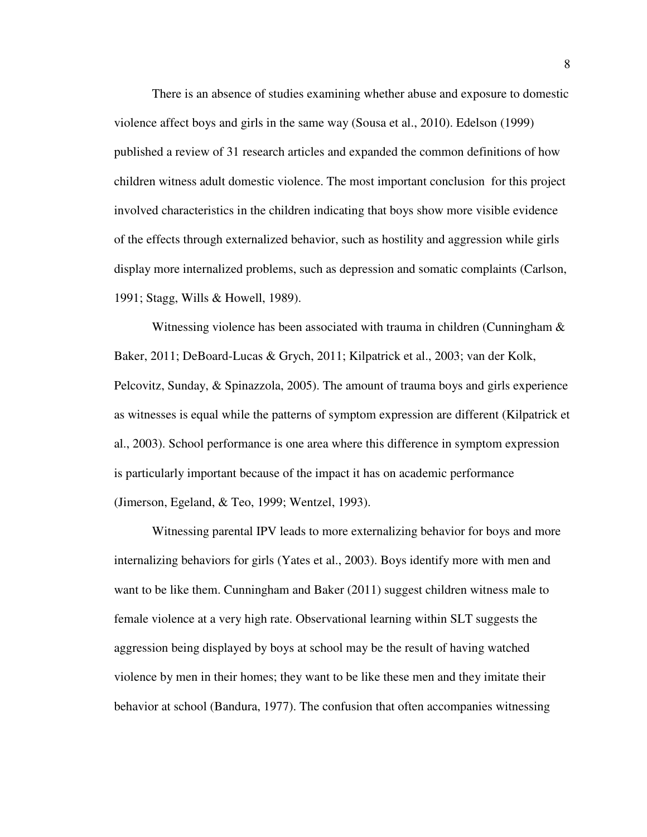There is an absence of studies examining whether abuse and exposure to domestic violence affect boys and girls in the same way (Sousa et al., 2010). Edelson (1999) published a review of 31 research articles and expanded the common definitions of how children witness adult domestic violence. The most important conclusion for this project involved characteristics in the children indicating that boys show more visible evidence of the effects through externalized behavior, such as hostility and aggression while girls display more internalized problems, such as depression and somatic complaints (Carlson, 1991; Stagg, Wills & Howell, 1989).

Witnessing violence has been associated with trauma in children (Cunningham & Baker, 2011; DeBoard-Lucas & Grych, 2011; Kilpatrick et al., 2003; van der Kolk, Pelcovitz, Sunday, & Spinazzola, 2005). The amount of trauma boys and girls experience as witnesses is equal while the patterns of symptom expression are different (Kilpatrick et al., 2003). School performance is one area where this difference in symptom expression is particularly important because of the impact it has on academic performance (Jimerson, Egeland, & Teo, 1999; Wentzel, 1993).

Witnessing parental IPV leads to more externalizing behavior for boys and more internalizing behaviors for girls (Yates et al., 2003). Boys identify more with men and want to be like them. Cunningham and Baker (2011) suggest children witness male to female violence at a very high rate. Observational learning within SLT suggests the aggression being displayed by boys at school may be the result of having watched violence by men in their homes; they want to be like these men and they imitate their behavior at school (Bandura, 1977). The confusion that often accompanies witnessing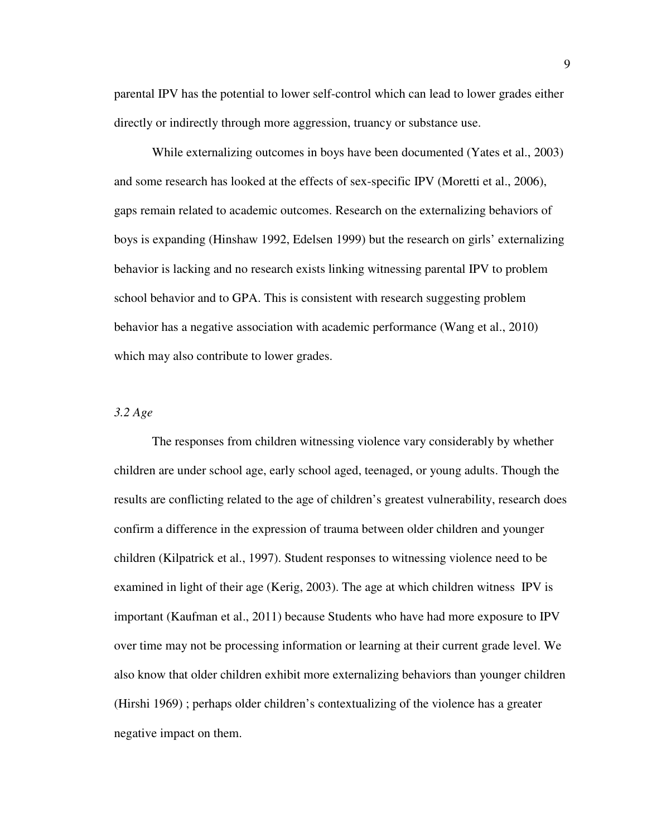parental IPV has the potential to lower self-control which can lead to lower grades either directly or indirectly through more aggression, truancy or substance use.

While externalizing outcomes in boys have been documented (Yates et al., 2003) and some research has looked at the effects of sex-specific IPV (Moretti et al., 2006), gaps remain related to academic outcomes. Research on the externalizing behaviors of boys is expanding (Hinshaw 1992, Edelsen 1999) but the research on girls' externalizing behavior is lacking and no research exists linking witnessing parental IPV to problem school behavior and to GPA. This is consistent with research suggesting problem behavior has a negative association with academic performance (Wang et al., 2010) which may also contribute to lower grades.

#### *3.2 Age*

The responses from children witnessing violence vary considerably by whether children are under school age, early school aged, teenaged, or young adults. Though the results are conflicting related to the age of children's greatest vulnerability, research does confirm a difference in the expression of trauma between older children and younger children (Kilpatrick et al., 1997). Student responses to witnessing violence need to be examined in light of their age (Kerig, 2003). The age at which children witness IPV is important (Kaufman et al., 2011) because Students who have had more exposure to IPV over time may not be processing information or learning at their current grade level. We also know that older children exhibit more externalizing behaviors than younger children (Hirshi 1969) ; perhaps older children's contextualizing of the violence has a greater negative impact on them.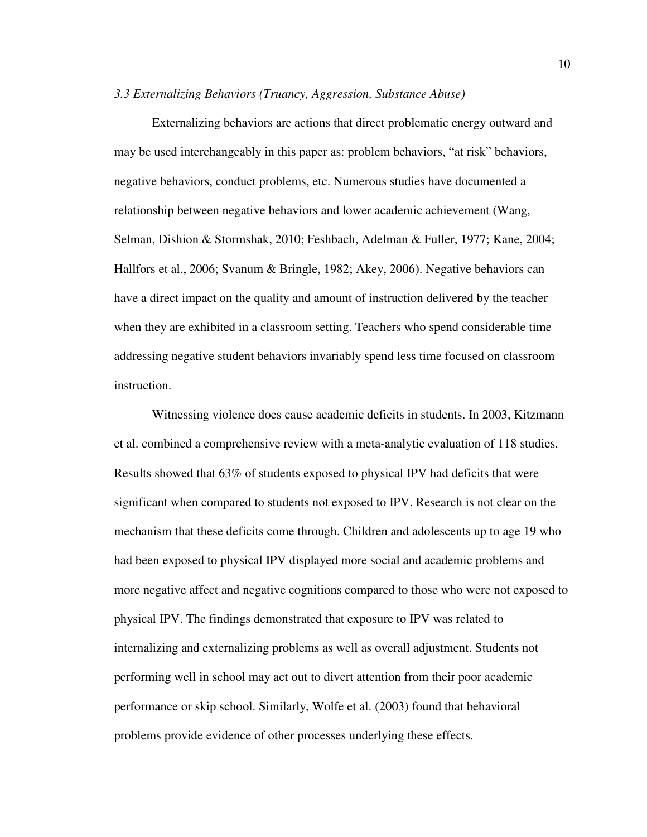#### *3.3 Externalizing Behaviors (Truancy, Aggression, Substance Abuse)*

Externalizing behaviors are actions that direct problematic energy outward and may be used interchangeably in this paper as: problem behaviors, "at risk" behaviors, negative behaviors, conduct problems, etc. Numerous studies have documented a relationship between negative behaviors and lower academic achievement (Wang, Selman, Dishion & Stormshak, 2010; Feshbach, Adelman & Fuller, 1977; Kane, 2004; Hallfors et al., 2006; Svanum & Bringle, 1982; Akey, 2006). Negative behaviors can have a direct impact on the quality and amount of instruction delivered by the teacher when they are exhibited in a classroom setting. Teachers who spend considerable time addressing negative student behaviors invariably spend less time focused on classroom instruction.

Witnessing violence does cause academic deficits in students. In 2003, Kitzmann et al. combined a comprehensive review with a meta-analytic evaluation of 118 studies. Results showed that 63% of students exposed to physical IPV had deficits that were significant when compared to students not exposed to IPV. Research is not clear on the mechanism that these deficits come through. Children and adolescents up to age 19 who had been exposed to physical IPV displayed more social and academic problems and more negative affect and negative cognitions compared to those who were not exposed to physical IPV. The findings demonstrated that exposure to IPV was related to internalizing and externalizing problems as well as overall adjustment. Students not performing well in school may act out to divert attention from their poor academic performance or skip school. Similarly, Wolfe et al. (2003) found that behavioral problems provide evidence of other processes underlying these effects.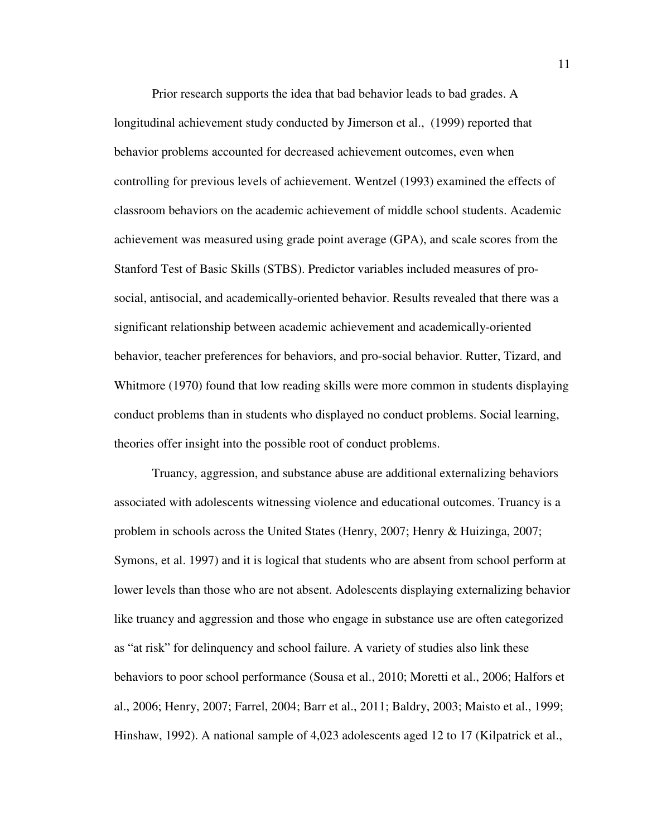Prior research supports the idea that bad behavior leads to bad grades. A longitudinal achievement study conducted by Jimerson et al., (1999) reported that behavior problems accounted for decreased achievement outcomes, even when controlling for previous levels of achievement. Wentzel (1993) examined the effects of classroom behaviors on the academic achievement of middle school students. Academic achievement was measured using grade point average (GPA), and scale scores from the Stanford Test of Basic Skills (STBS). Predictor variables included measures of prosocial, antisocial, and academically-oriented behavior. Results revealed that there was a significant relationship between academic achievement and academically-oriented behavior, teacher preferences for behaviors, and pro-social behavior. Rutter, Tizard, and Whitmore (1970) found that low reading skills were more common in students displaying conduct problems than in students who displayed no conduct problems. Social learning, theories offer insight into the possible root of conduct problems.

Truancy, aggression, and substance abuse are additional externalizing behaviors associated with adolescents witnessing violence and educational outcomes. Truancy is a problem in schools across the United States (Henry, 2007; Henry & Huizinga, 2007; Symons, et al. 1997) and it is logical that students who are absent from school perform at lower levels than those who are not absent. Adolescents displaying externalizing behavior like truancy and aggression and those who engage in substance use are often categorized as "at risk" for delinquency and school failure. A variety of studies also link these behaviors to poor school performance (Sousa et al., 2010; Moretti et al., 2006; Halfors et al., 2006; Henry, 2007; Farrel, 2004; Barr et al., 2011; Baldry, 2003; Maisto et al., 1999; Hinshaw, 1992). A national sample of 4,023 adolescents aged 12 to 17 (Kilpatrick et al.,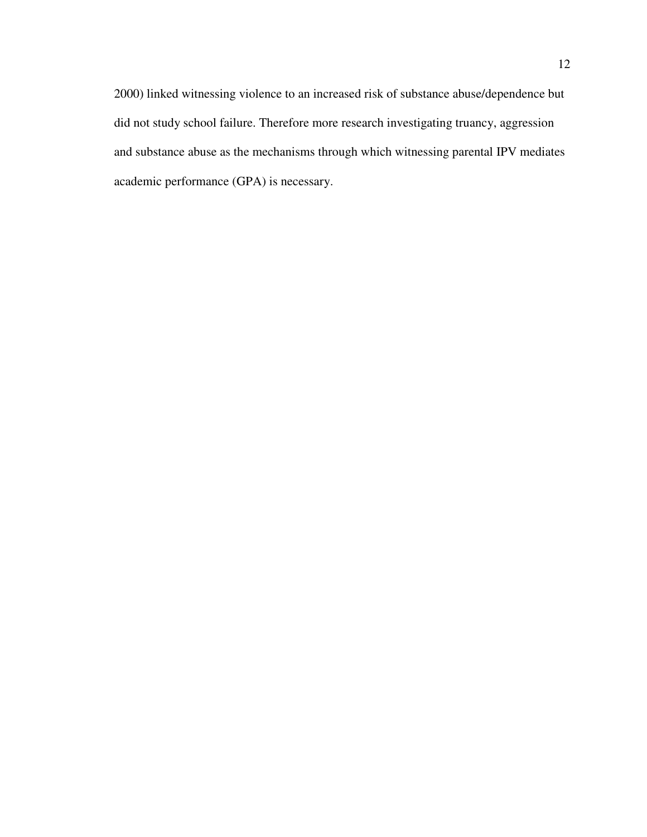2000) linked witnessing violence to an increased risk of substance abuse/dependence but did not study school failure. Therefore more research investigating truancy, aggression and substance abuse as the mechanisms through which witnessing parental IPV mediates academic performance (GPA) is necessary.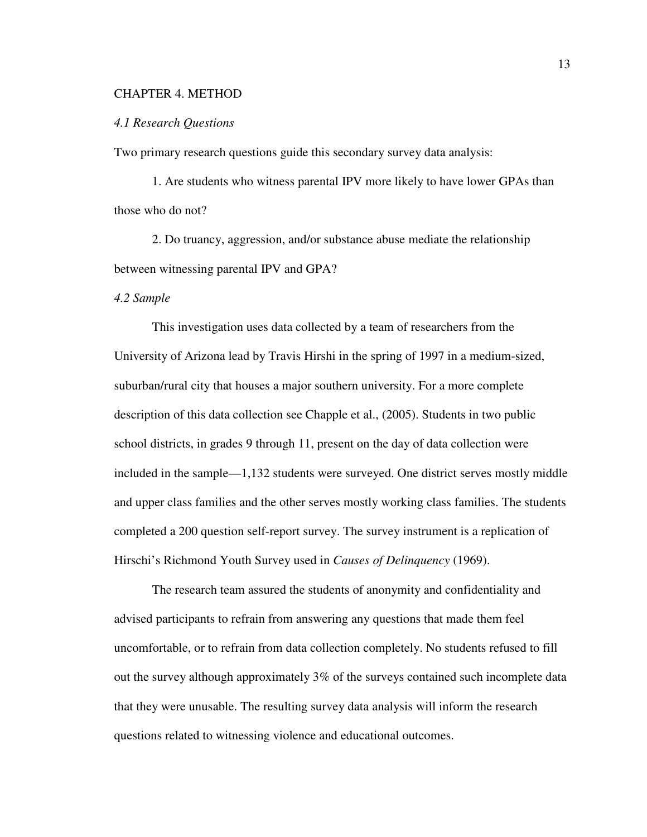#### CHAPTER 4. METHOD

#### *4.1 Research Questions*

Two primary research questions guide this secondary survey data analysis:

 1. Are students who witness parental IPV more likely to have lower GPAs than those who do not?

 2. Do truancy, aggression, and/or substance abuse mediate the relationship between witnessing parental IPV and GPA?

#### *4.2 Sample*

This investigation uses data collected by a team of researchers from the University of Arizona lead by Travis Hirshi in the spring of 1997 in a medium-sized, suburban/rural city that houses a major southern university. For a more complete description of this data collection see Chapple et al., (2005). Students in two public school districts, in grades 9 through 11, present on the day of data collection were included in the sample—1,132 students were surveyed. One district serves mostly middle and upper class families and the other serves mostly working class families. The students completed a 200 question self-report survey. The survey instrument is a replication of Hirschi's Richmond Youth Survey used in *Causes of Delinquency* (1969).

The research team assured the students of anonymity and confidentiality and advised participants to refrain from answering any questions that made them feel uncomfortable, or to refrain from data collection completely. No students refused to fill out the survey although approximately 3% of the surveys contained such incomplete data that they were unusable. The resulting survey data analysis will inform the research questions related to witnessing violence and educational outcomes.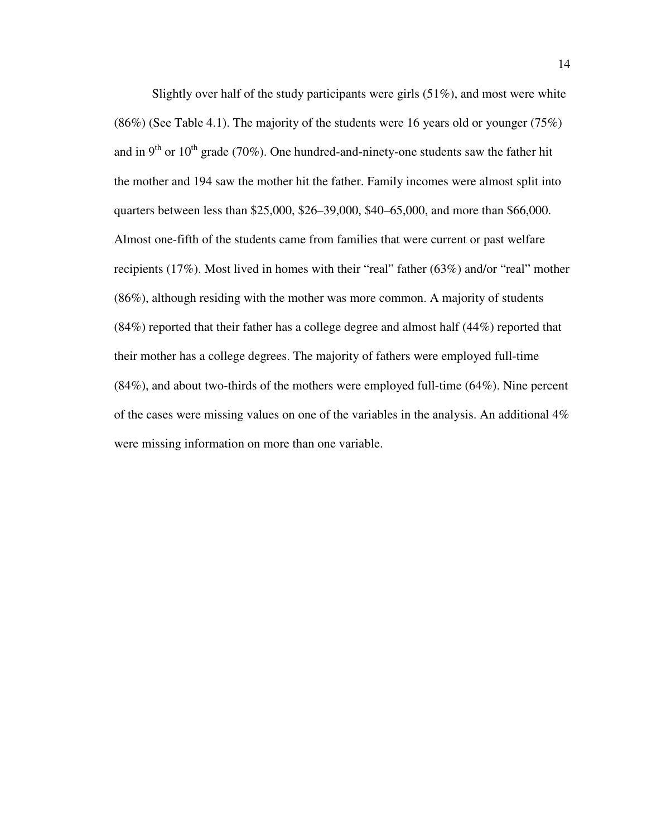Slightly over half of the study participants were girls  $(51\%)$ , and most were white (86%) (See Table 4.1). The majority of the students were 16 years old or younger (75%) and in  $9<sup>th</sup>$  or  $10<sup>th</sup>$  grade (70%). One hundred-and-ninety-one students saw the father hit the mother and 194 saw the mother hit the father. Family incomes were almost split into quarters between less than \$25,000, \$26–39,000, \$40–65,000, and more than \$66,000. Almost one-fifth of the students came from families that were current or past welfare recipients (17%). Most lived in homes with their "real" father (63%) and/or "real" mother (86%), although residing with the mother was more common. A majority of students (84%) reported that their father has a college degree and almost half (44%) reported that their mother has a college degrees. The majority of fathers were employed full-time (84%), and about two-thirds of the mothers were employed full-time (64%). Nine percent of the cases were missing values on one of the variables in the analysis. An additional 4% were missing information on more than one variable.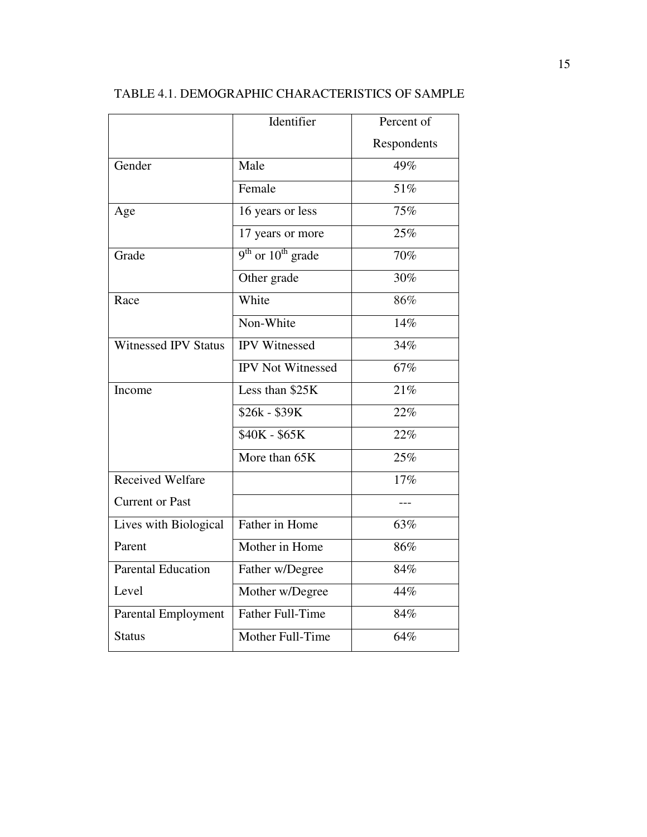|                             | Identifier               | Percent of  |
|-----------------------------|--------------------------|-------------|
|                             |                          | Respondents |
| Gender                      | Male                     | 49%         |
|                             | Female                   | 51%         |
| Age                         | 16 years or less         | 75%         |
|                             | 17 years or more         | 25%         |
| Grade                       | $9th$ or $10th$ grade    | 70%         |
|                             | Other grade              | 30%         |
| Race                        | White                    | 86%         |
|                             | Non-White                | 14%         |
| <b>Witnessed IPV Status</b> | <b>IPV</b> Witnessed     | 34%         |
|                             | <b>IPV</b> Not Witnessed | 67%         |
| Income                      | Less than \$25K          | 21%         |
|                             | \$26k - \$39K            | 22%         |
|                             | \$40K - \$65K            | 22%         |
|                             | More than 65K            | 25%         |
| Received Welfare            |                          | 17%         |
| <b>Current or Past</b>      |                          |             |
| Lives with Biological       | Father in Home           | 63%         |
| Parent                      | Mother in Home           | 86%         |
| <b>Parental Education</b>   | Father w/Degree          | 84%         |
| Level                       | Mother w/Degree          | 44%         |
| <b>Parental Employment</b>  | <b>Father Full-Time</b>  | 84%         |
| <b>Status</b>               | Mother Full-Time         | 64%         |

# TABLE 4.1. DEMOGRAPHIC CHARACTERISTICS OF SAMPLE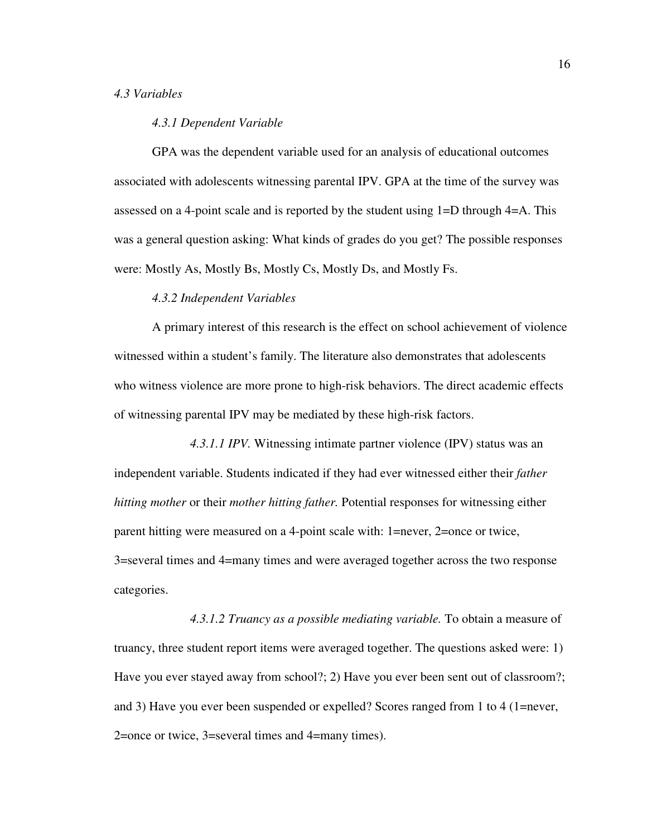#### *4.3 Variables*

#### *4.3.1 Dependent Variable*

GPA was the dependent variable used for an analysis of educational outcomes associated with adolescents witnessing parental IPV. GPA at the time of the survey was assessed on a 4-point scale and is reported by the student using 1=D through 4=A. This was a general question asking: What kinds of grades do you get? The possible responses were: Mostly As, Mostly Bs, Mostly Cs, Mostly Ds, and Mostly Fs.

#### *4.3.2 Independent Variables*

A primary interest of this research is the effect on school achievement of violence witnessed within a student's family. The literature also demonstrates that adolescents who witness violence are more prone to high-risk behaviors. The direct academic effects of witnessing parental IPV may be mediated by these high-risk factors.

 *4.3.1.1 IPV.* Witnessing intimate partner violence (IPV) status was an independent variable. Students indicated if they had ever witnessed either their *father hitting mother* or their *mother hitting father.* Potential responses for witnessing either parent hitting were measured on a 4-point scale with: 1=never, 2=once or twice, 3=several times and 4=many times and were averaged together across the two response categories.

*4.3.1.2 Truancy as a possible mediating variable.* To obtain a measure of truancy, three student report items were averaged together. The questions asked were: 1) Have you ever stayed away from school?; 2) Have you ever been sent out of classroom?; and 3) Have you ever been suspended or expelled? Scores ranged from 1 to 4 (1=never, 2=once or twice, 3=several times and 4=many times).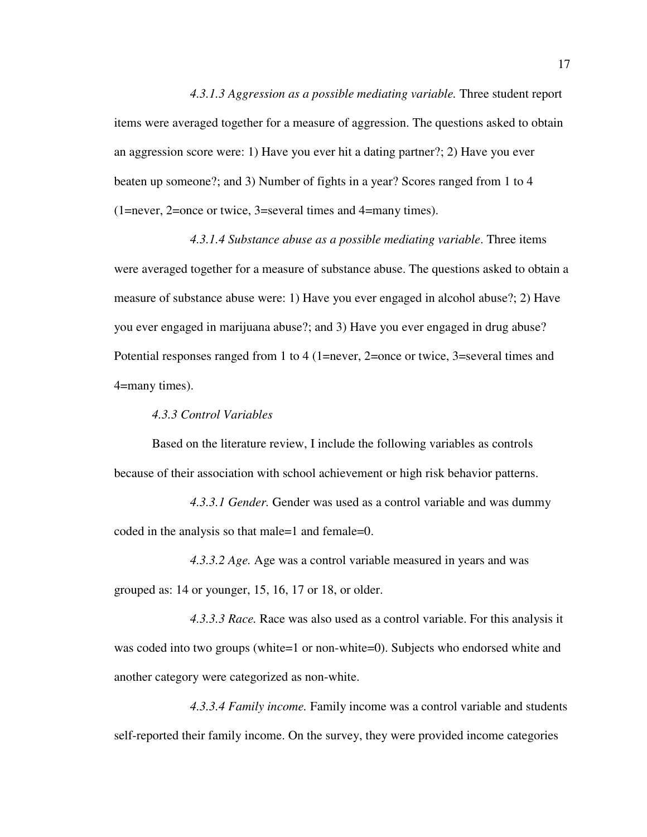*4.3.1.3 Aggression as a possible mediating variable.* Three student report items were averaged together for a measure of aggression. The questions asked to obtain an aggression score were: 1) Have you ever hit a dating partner?; 2) Have you ever beaten up someone?; and 3) Number of fights in a year? Scores ranged from 1 to 4 (1=never, 2=once or twice, 3=several times and 4=many times).

 *4.3.1.4 Substance abuse as a possible mediating variable*. Three items were averaged together for a measure of substance abuse. The questions asked to obtain a measure of substance abuse were: 1) Have you ever engaged in alcohol abuse?; 2) Have you ever engaged in marijuana abuse?; and 3) Have you ever engaged in drug abuse? Potential responses ranged from 1 to 4 (1=never, 2=once or twice, 3=several times and 4=many times).

 *4.3.3 Control Variables* 

Based on the literature review, I include the following variables as controls because of their association with school achievement or high risk behavior patterns.

 *4.3.3.1 Gender.* Gender was used as a control variable and was dummy coded in the analysis so that male=1 and female=0.

 *4.3.3.2 Age.* Age was a control variable measured in years and was grouped as: 14 or younger, 15, 16, 17 or 18, or older.

 *4.3.3.3 Race.* Race was also used as a control variable. For this analysis it was coded into two groups (white=1 or non-white=0). Subjects who endorsed white and another category were categorized as non-white.

 *4.3.3.4 Family income.* Family income was a control variable and students self-reported their family income. On the survey, they were provided income categories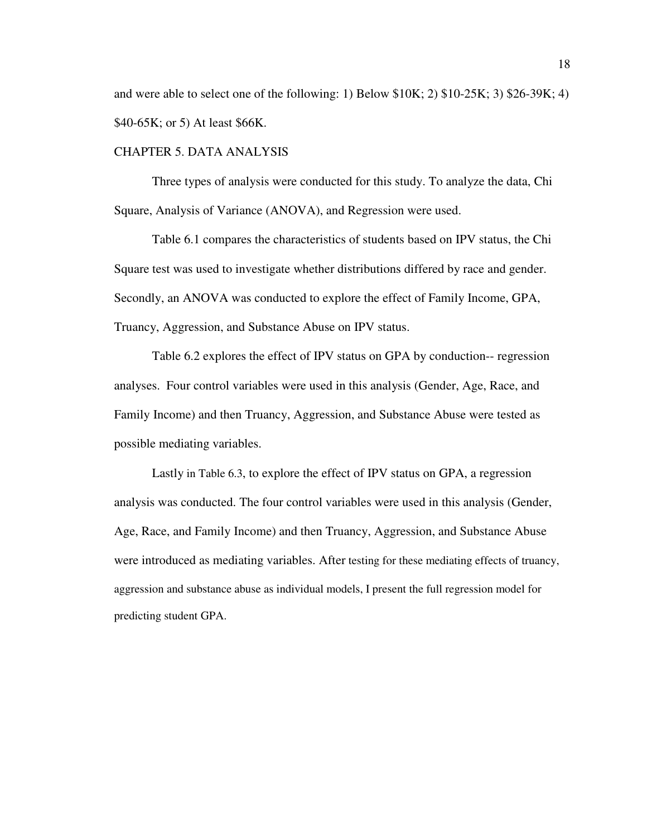and were able to select one of the following: 1) Below  $$10K; 2)$   $$10-25K; 3)$   $$26-39K; 4)$ \$40-65K; or 5) At least \$66K.

#### CHAPTER 5. DATA ANALYSIS

 Three types of analysis were conducted for this study. To analyze the data, Chi Square, Analysis of Variance (ANOVA), and Regression were used.

Table 6.1 compares the characteristics of students based on IPV status, the Chi Square test was used to investigate whether distributions differed by race and gender. Secondly, an ANOVA was conducted to explore the effect of Family Income, GPA, Truancy, Aggression, and Substance Abuse on IPV status.

Table 6.2 explores the effect of IPV status on GPA by conduction-- regression analyses. Four control variables were used in this analysis (Gender, Age, Race, and Family Income) and then Truancy, Aggression, and Substance Abuse were tested as possible mediating variables.

Lastly in Table 6.3, to explore the effect of IPV status on GPA, a regression analysis was conducted. The four control variables were used in this analysis (Gender, Age, Race, and Family Income) and then Truancy, Aggression, and Substance Abuse were introduced as mediating variables. After testing for these mediating effects of truancy, aggression and substance abuse as individual models, I present the full regression model for predicting student GPA.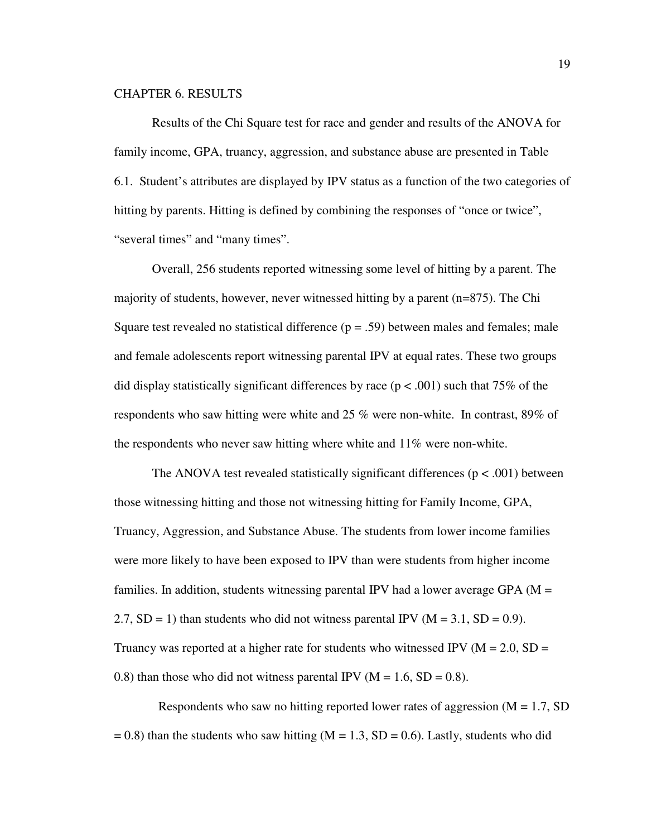#### CHAPTER 6. RESULTS

Results of the Chi Square test for race and gender and results of the ANOVA for family income, GPA, truancy, aggression, and substance abuse are presented in Table 6.1. Student's attributes are displayed by IPV status as a function of the two categories of hitting by parents. Hitting is defined by combining the responses of "once or twice", "several times" and "many times".

Overall, 256 students reported witnessing some level of hitting by a parent. The majority of students, however, never witnessed hitting by a parent (n=875). The Chi Square test revealed no statistical difference  $(p = .59)$  between males and females; male and female adolescents report witnessing parental IPV at equal rates. These two groups did display statistically significant differences by race ( $p < .001$ ) such that 75% of the respondents who saw hitting were white and 25 % were non-white. In contrast, 89% of the respondents who never saw hitting where white and 11% were non-white.

The ANOVA test revealed statistically significant differences ( $p < .001$ ) between those witnessing hitting and those not witnessing hitting for Family Income, GPA, Truancy, Aggression, and Substance Abuse. The students from lower income families were more likely to have been exposed to IPV than were students from higher income families. In addition, students witnessing parental IPV had a lower average GPA ( $M =$ 2.7,  $SD = 1$ ) than students who did not witness parental IPV ( $M = 3.1$ ,  $SD = 0.9$ ). Truancy was reported at a higher rate for students who witnessed IPV ( $M = 2.0$ , SD = 0.8) than those who did not witness parental IPV ( $M = 1.6$ , SD = 0.8).

Respondents who saw no hitting reported lower rates of aggression  $(M = 1.7, SD)$  $= 0.8$ ) than the students who saw hitting (M = 1.3, SD = 0.6). Lastly, students who did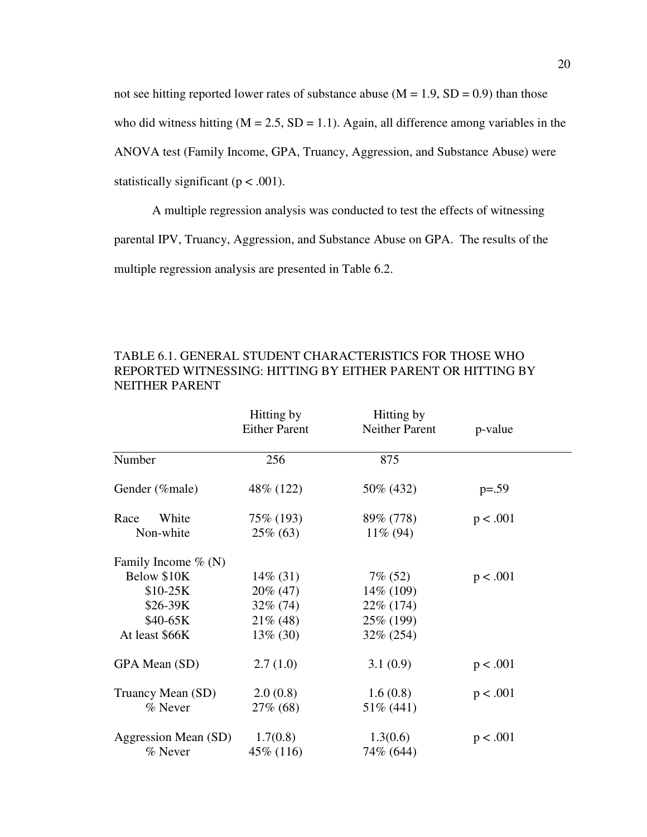not see hitting reported lower rates of substance abuse  $(M = 1.9, SD = 0.9)$  than those who did witness hitting ( $M = 2.5$ ,  $SD = 1.1$ ). Again, all difference among variables in the ANOVA test (Family Income, GPA, Truancy, Aggression, and Substance Abuse) were statistically significant ( $p < .001$ ).

A multiple regression analysis was conducted to test the effects of witnessing parental IPV, Truancy, Aggression, and Substance Abuse on GPA. The results of the multiple regression analysis are presented in Table 6.2.

|                        | Hitting by<br><b>Either Parent</b> | Hitting by<br><b>Neither Parent</b> | p-value  |
|------------------------|------------------------------------|-------------------------------------|----------|
| Number                 | 256                                | 875                                 |          |
| Gender (%male)         | 48\% (122)                         | 50% (432)                           | $p=.59$  |
| White<br>Race          | 75\% (193)                         | 89% (778)                           | p < .001 |
| Non-white              | $25\%$ (63)                        | $11\% (94)$                         |          |
| Family Income $\%$ (N) |                                    |                                     |          |
| Below \$10K            | $14\%$ (31)                        | $7\%$ (52)                          | p < .001 |
| $$10-25K$              | $20\%$ (47)                        | 14\% (109)                          |          |
| \$26-39K               | $32\% (74)$                        | 22% (174)                           |          |
| \$40-65K               | $21\%$ (48)                        | 25\% (199)                          |          |
| At least \$66K         | $13\%$ (30)                        | 32% (254)                           |          |
| GPA Mean (SD)          | 2.7(1.0)                           | 3.1(0.9)                            | p < .001 |
| Truancy Mean (SD)      | 2.0(0.8)                           | 1.6(0.8)                            | p < .001 |
| % Never                | 27\% (68)                          | 51% (441)                           |          |
| Aggression Mean (SD)   | 1.7(0.8)                           | 1.3(0.6)                            | p < .001 |
| % Never                | 45\% (116)                         | 74% (644)                           |          |

TABLE 6.1. GENERAL STUDENT CHARACTERISTICS FOR THOSE WHO REPORTED WITNESSING: HITTING BY EITHER PARENT OR HITTING BY NEITHER PARENT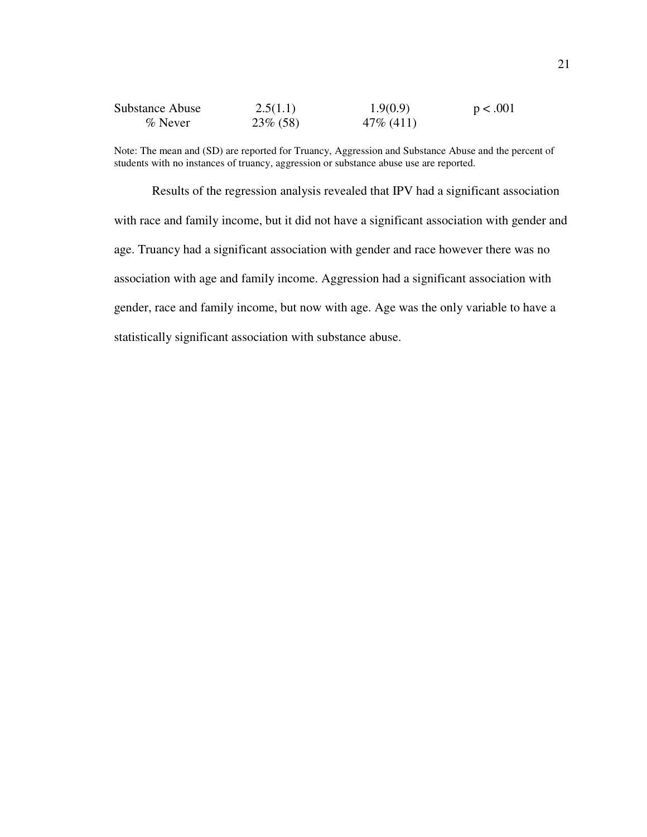| Substance Abuse | 2.5(1.1)    | 1.9(0.9)     | p < .001 |
|-----------------|-------------|--------------|----------|
| $\%$ Never      | $23\%$ (58) | $47\%$ (411) |          |

Note: The mean and (SD) are reported for Truancy, Aggression and Substance Abuse and the percent of students with no instances of truancy, aggression or substance abuse use are reported.

Results of the regression analysis revealed that IPV had a significant association with race and family income, but it did not have a significant association with gender and age. Truancy had a significant association with gender and race however there was no association with age and family income. Aggression had a significant association with gender, race and family income, but now with age. Age was the only variable to have a statistically significant association with substance abuse.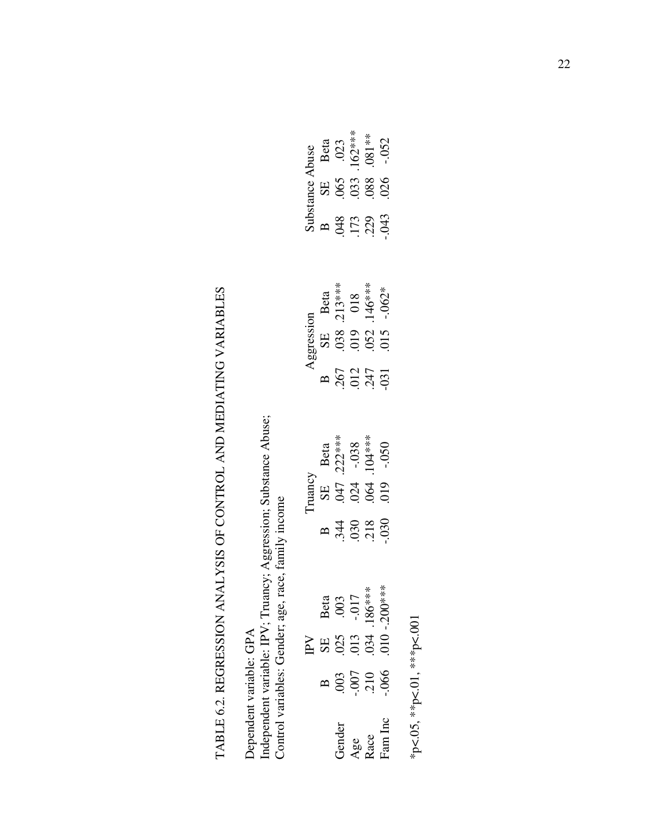# TABLE 6.2. REGRESSION ANALYSIS OF CONTROL AND MEDIATING VARIABLES TABLE 6.2. REGRESSION ANALYSIS OF CONTROL AND MEDIATING VARIABLES

Independent variable: IPV; Truancy; Aggression; Substance Abuse;<br>Control variables: Gender; age, race, family income Independent variable: IPV; Truancy; Aggression; Substance Abuse; Control variables: Gender; age, race, family income Dependent variable: GPA Dependent variable: GPA

|        |  | Substance Abuse<br>B SE Beta<br>.048 .065 .023<br>.173 .033 .162***<br>.229 .088 .081**<br>.-.043 .026 .-.052       |  |
|--------|--|---------------------------------------------------------------------------------------------------------------------|--|
|        |  |                                                                                                                     |  |
|        |  |                                                                                                                     |  |
|        |  | Aggression<br>B SE Beta<br>.267 .038 .213***<br>.012 .019 018<br>.247 .052 .146***<br>-031 .015 -.062*              |  |
|        |  |                                                                                                                     |  |
|        |  |                                                                                                                     |  |
|        |  | Truancy<br>SE Beta<br>.047 .222***<br>.024 -.038<br>.064 .104***<br>.050 -.050                                      |  |
|        |  |                                                                                                                     |  |
|        |  | B<br>344<br>36 218<br>30                                                                                            |  |
|        |  | Beta<br>.003<br>.017<br>186***<br>186***                                                                            |  |
| $\geq$ |  | <b>SE 834</b><br>025<br>010<br>010                                                                                  |  |
|        |  | $\frac{1}{2}$<br>$\frac{3}{2}$<br>$\frac{3}{2}$<br>$\frac{3}{2}$<br>$\frac{3}{2}$<br>$\frac{3}{2}$<br>$\frac{3}{2}$ |  |
|        |  | Gender<br>Age<br>Race<br>Fam Inc                                                                                    |  |

\*p<.05, \*\*p<.01, \*\*\*p<.001 \*p<.05, \*\*p<.01, \*\*\*p<.001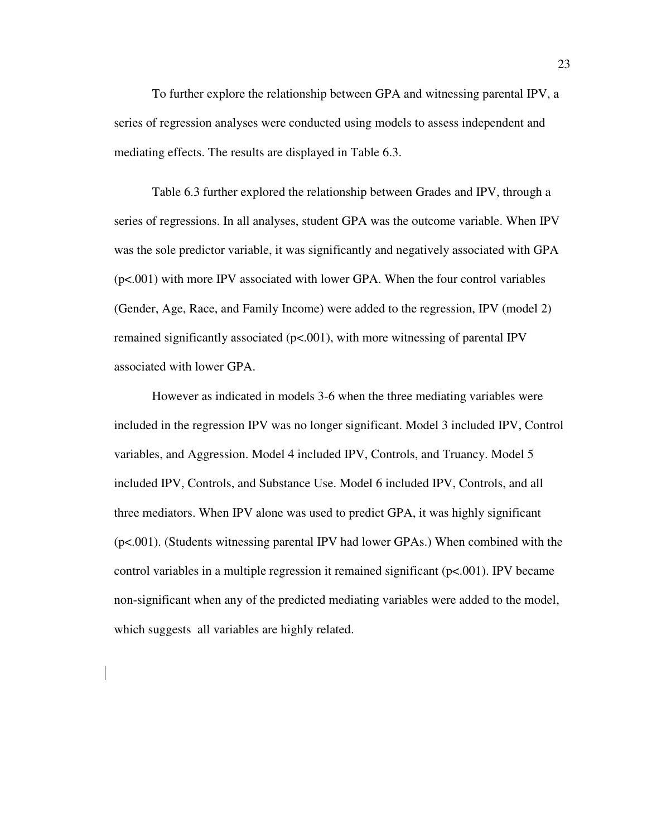To further explore the relationship between GPA and witnessing parental IPV, a series of regression analyses were conducted using models to assess independent and mediating effects. The results are displayed in Table 6.3.

Table 6.3 further explored the relationship between Grades and IPV, through a series of regressions. In all analyses, student GPA was the outcome variable. When IPV was the sole predictor variable, it was significantly and negatively associated with GPA (p<.001) with more IPV associated with lower GPA. When the four control variables (Gender, Age, Race, and Family Income) were added to the regression, IPV (model 2) remained significantly associated  $(p< .001)$ , with more witnessing of parental IPV associated with lower GPA.

However as indicated in models 3-6 when the three mediating variables were included in the regression IPV was no longer significant. Model 3 included IPV, Control variables, and Aggression. Model 4 included IPV, Controls, and Truancy. Model 5 included IPV, Controls, and Substance Use. Model 6 included IPV, Controls, and all three mediators. When IPV alone was used to predict GPA, it was highly significant (p<.001). (Students witnessing parental IPV had lower GPAs.) When combined with the control variables in a multiple regression it remained significant (p<.001). IPV became non-significant when any of the predicted mediating variables were added to the model, which suggests all variables are highly related.

23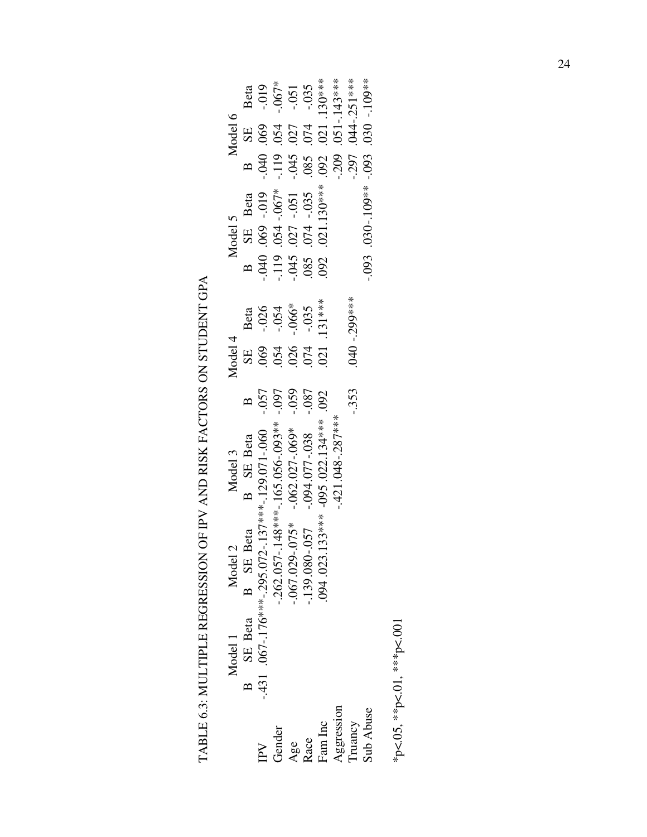TABLE 6.3: MULTIPLE REGRESSION OF IPV AND RISK FACTORS ON STUDENT GPA TABLE 6.3: MULTIPLE REGRESSION OF IPV AND RISK FACTORS ON STUDENT GPA

|                                                                                              | Model 1        | Model 2                                                                                                                                                                                                                                                                                        | Model 3          |        |                                                                                                                                                                                  |                                              |                                                                                                                                |                 |          | Model 6 |                                                                                                                                           |
|----------------------------------------------------------------------------------------------|----------------|------------------------------------------------------------------------------------------------------------------------------------------------------------------------------------------------------------------------------------------------------------------------------------------------|------------------|--------|----------------------------------------------------------------------------------------------------------------------------------------------------------------------------------|----------------------------------------------|--------------------------------------------------------------------------------------------------------------------------------|-----------------|----------|---------|-------------------------------------------------------------------------------------------------------------------------------------------|
|                                                                                              | B SE Beta B SE |                                                                                                                                                                                                                                                                                                | <b>B</b> SE Beta |        |                                                                                                                                                                                  |                                              |                                                                                                                                |                 |          |         |                                                                                                                                           |
|                                                                                              |                | B SE Beta B SE Beta B<br>-.295.072-.137***-.129.071-.060 -.057<br>-.262.057-.148***-.165.056-.093** -.097<br>-.067.029-.075* -.062.027-.069* -.059<br>-.139.080-.057 -.094.077-.038 -.059<br>-.139.080-.057 -.094.077-.038 -.087<br>094.02<br>.431 .067-.176***-.295.072-.137***-.129.071-.060 |                  |        | $\frac{4}{35}$<br>$\frac{1}{35}$<br>$\frac{1}{35}$<br>$\frac{1}{35}$<br>$\frac{1}{35}$<br>$\frac{1}{35}$<br>$\frac{1}{35}$<br>$\frac{1}{35}$<br>$\frac{1}{35}$<br>$\frac{1}{35}$ | Beta<br>- .026<br>- .054<br>- .035<br>- .035 | Model 5<br>B SE Beta<br>-.040 .069 -.019 -<br>-.119 .054 -.067*<br>-.045 .027 -.051 -<br>-.045 .027 -.051 -<br>.085 .074 -.035 |                 |          |         | B SE Beta<br>-.040 .069 -.019<br>-.119 .054 -.067*<br>-.045 .027 -.051<br>-.051 .085 .074 -.035<br>-.085 .074 -.035<br>-.209 .051-.143*** |
| IPV<br>Gender                                                                                |                |                                                                                                                                                                                                                                                                                                |                  |        |                                                                                                                                                                                  |                                              |                                                                                                                                |                 |          |         |                                                                                                                                           |
|                                                                                              |                |                                                                                                                                                                                                                                                                                                |                  |        |                                                                                                                                                                                  |                                              |                                                                                                                                |                 |          |         |                                                                                                                                           |
|                                                                                              |                |                                                                                                                                                                                                                                                                                                |                  |        |                                                                                                                                                                                  |                                              |                                                                                                                                |                 |          |         |                                                                                                                                           |
| $\begin{array}{lcl} \mathbf{Age} \\ \mathbf{Rate} \\ \mathbf{Fam}\ \mathbf{Inc} \end{array}$ |                |                                                                                                                                                                                                                                                                                                |                  |        |                                                                                                                                                                                  |                                              |                                                                                                                                |                 |          |         |                                                                                                                                           |
| Aggression                                                                                   |                |                                                                                                                                                                                                                                                                                                | .421.048-.287*** |        |                                                                                                                                                                                  |                                              |                                                                                                                                |                 |          |         |                                                                                                                                           |
| ruancy                                                                                       |                |                                                                                                                                                                                                                                                                                                |                  | $-353$ |                                                                                                                                                                                  | 040 - 299***                                 |                                                                                                                                |                 |          |         |                                                                                                                                           |
| <b>Sub Abuse</b>                                                                             |                |                                                                                                                                                                                                                                                                                                |                  |        |                                                                                                                                                                                  |                                              | .093                                                                                                                           | $0.030 - 109**$ | $-0.093$ |         | $0.030 - 109**$                                                                                                                           |

\*p<.05, \*\*p<.01, \*\*\*p<.001 \*p<.05, \*\*p<.01, \*\*\*p<.001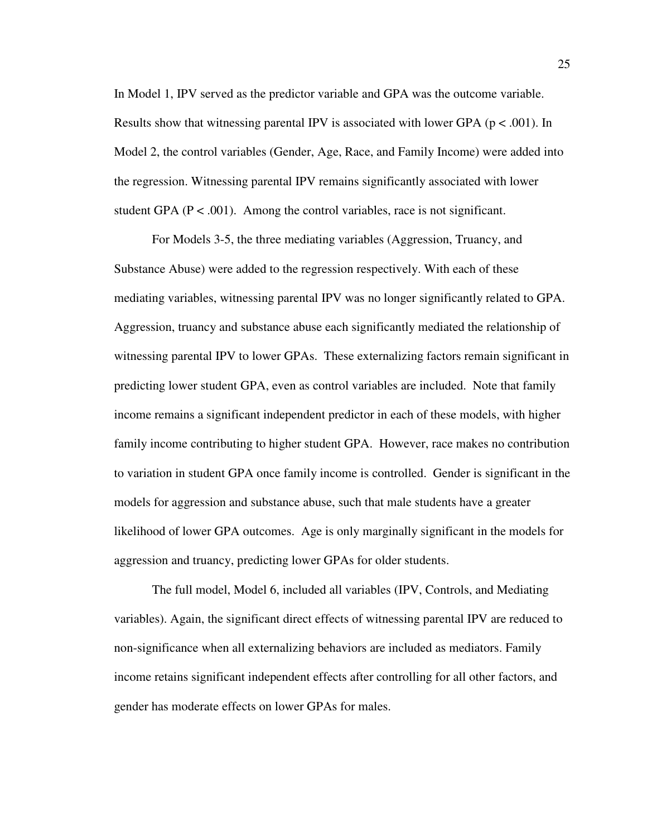In Model 1, IPV served as the predictor variable and GPA was the outcome variable. Results show that witnessing parental IPV is associated with lower GPA ( $p < .001$ ). In Model 2, the control variables (Gender, Age, Race, and Family Income) were added into the regression. Witnessing parental IPV remains significantly associated with lower student GPA ( $P < .001$ ). Among the control variables, race is not significant.

For Models 3-5, the three mediating variables (Aggression, Truancy, and Substance Abuse) were added to the regression respectively. With each of these mediating variables, witnessing parental IPV was no longer significantly related to GPA. Aggression, truancy and substance abuse each significantly mediated the relationship of witnessing parental IPV to lower GPAs. These externalizing factors remain significant in predicting lower student GPA, even as control variables are included. Note that family income remains a significant independent predictor in each of these models, with higher family income contributing to higher student GPA. However, race makes no contribution to variation in student GPA once family income is controlled. Gender is significant in the models for aggression and substance abuse, such that male students have a greater likelihood of lower GPA outcomes. Age is only marginally significant in the models for aggression and truancy, predicting lower GPAs for older students.

The full model, Model 6, included all variables (IPV, Controls, and Mediating variables). Again, the significant direct effects of witnessing parental IPV are reduced to non-significance when all externalizing behaviors are included as mediators. Family income retains significant independent effects after controlling for all other factors, and gender has moderate effects on lower GPAs for males.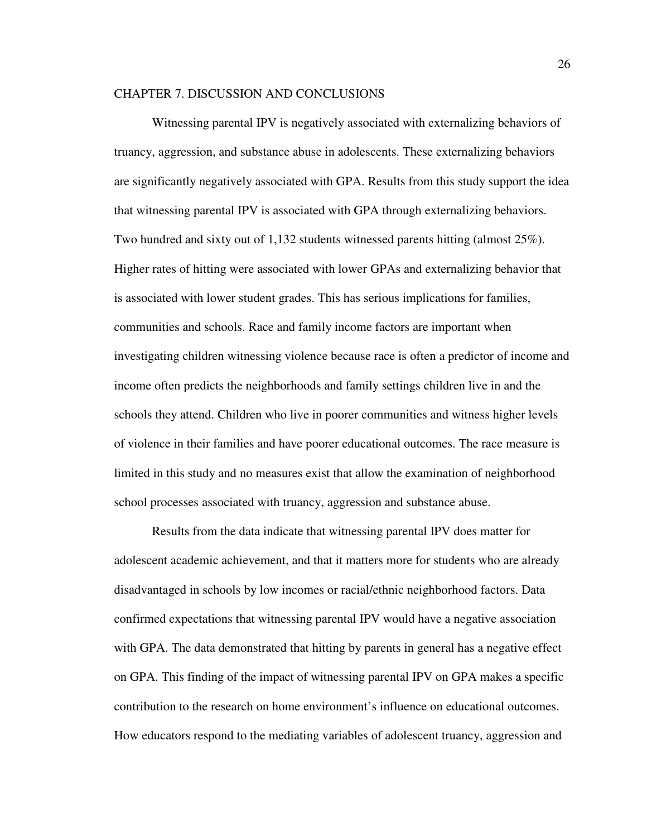#### CHAPTER 7. DISCUSSION AND CONCLUSIONS

 Witnessing parental IPV is negatively associated with externalizing behaviors of truancy, aggression, and substance abuse in adolescents. These externalizing behaviors are significantly negatively associated with GPA. Results from this study support the idea that witnessing parental IPV is associated with GPA through externalizing behaviors. Two hundred and sixty out of 1,132 students witnessed parents hitting (almost 25%). Higher rates of hitting were associated with lower GPAs and externalizing behavior that is associated with lower student grades. This has serious implications for families, communities and schools. Race and family income factors are important when investigating children witnessing violence because race is often a predictor of income and income often predicts the neighborhoods and family settings children live in and the schools they attend. Children who live in poorer communities and witness higher levels of violence in their families and have poorer educational outcomes. The race measure is limited in this study and no measures exist that allow the examination of neighborhood school processes associated with truancy, aggression and substance abuse.

Results from the data indicate that witnessing parental IPV does matter for adolescent academic achievement, and that it matters more for students who are already disadvantaged in schools by low incomes or racial/ethnic neighborhood factors. Data confirmed expectations that witnessing parental IPV would have a negative association with GPA. The data demonstrated that hitting by parents in general has a negative effect on GPA. This finding of the impact of witnessing parental IPV on GPA makes a specific contribution to the research on home environment's influence on educational outcomes. How educators respond to the mediating variables of adolescent truancy, aggression and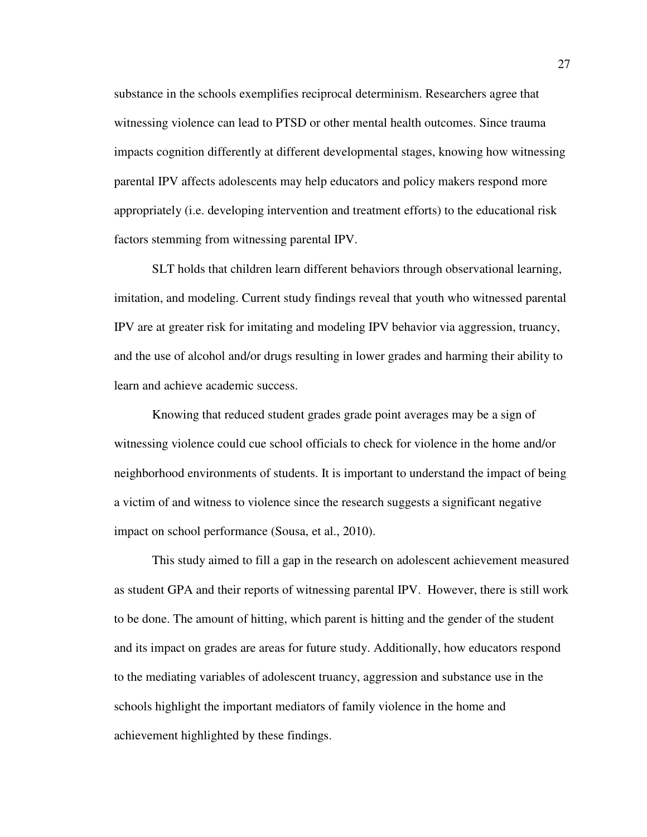substance in the schools exemplifies reciprocal determinism. Researchers agree that witnessing violence can lead to PTSD or other mental health outcomes. Since trauma impacts cognition differently at different developmental stages, knowing how witnessing parental IPV affects adolescents may help educators and policy makers respond more appropriately (i.e. developing intervention and treatment efforts) to the educational risk factors stemming from witnessing parental IPV.

SLT holds that children learn different behaviors through observational learning, imitation, and modeling. Current study findings reveal that youth who witnessed parental IPV are at greater risk for imitating and modeling IPV behavior via aggression, truancy, and the use of alcohol and/or drugs resulting in lower grades and harming their ability to learn and achieve academic success.

Knowing that reduced student grades grade point averages may be a sign of witnessing violence could cue school officials to check for violence in the home and/or neighborhood environments of students. It is important to understand the impact of being a victim of and witness to violence since the research suggests a significant negative impact on school performance (Sousa, et al., 2010).

This study aimed to fill a gap in the research on adolescent achievement measured as student GPA and their reports of witnessing parental IPV. However, there is still work to be done. The amount of hitting, which parent is hitting and the gender of the student and its impact on grades are areas for future study. Additionally, how educators respond to the mediating variables of adolescent truancy, aggression and substance use in the schools highlight the important mediators of family violence in the home and achievement highlighted by these findings.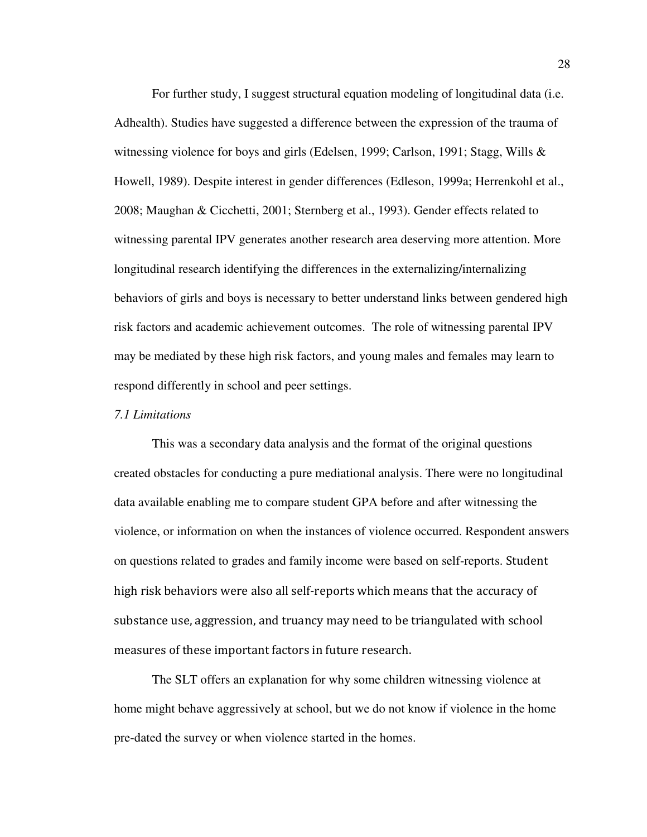For further study, I suggest structural equation modeling of longitudinal data (i.e. Adhealth). Studies have suggested a difference between the expression of the trauma of witnessing violence for boys and girls (Edelsen, 1999; Carlson, 1991; Stagg, Wills & Howell, 1989). Despite interest in gender differences (Edleson, 1999a; Herrenkohl et al., 2008; Maughan & Cicchetti, 2001; Sternberg et al., 1993). Gender effects related to witnessing parental IPV generates another research area deserving more attention. More longitudinal research identifying the differences in the externalizing/internalizing behaviors of girls and boys is necessary to better understand links between gendered high risk factors and academic achievement outcomes. The role of witnessing parental IPV may be mediated by these high risk factors, and young males and females may learn to respond differently in school and peer settings.

#### *7.1 Limitations*

This was a secondary data analysis and the format of the original questions created obstacles for conducting a pure mediational analysis. There were no longitudinal data available enabling me to compare student GPA before and after witnessing the violence, or information on when the instances of violence occurred. Respondent answers on questions related to grades and family income were based on self-reports. Student high risk behaviors were also all self-reports which means that the accuracy of substance use, aggression, and truancy may need to be triangulated with school measures of these important factors in future research.

The SLT offers an explanation for why some children witnessing violence at home might behave aggressively at school, but we do not know if violence in the home pre-dated the survey or when violence started in the homes.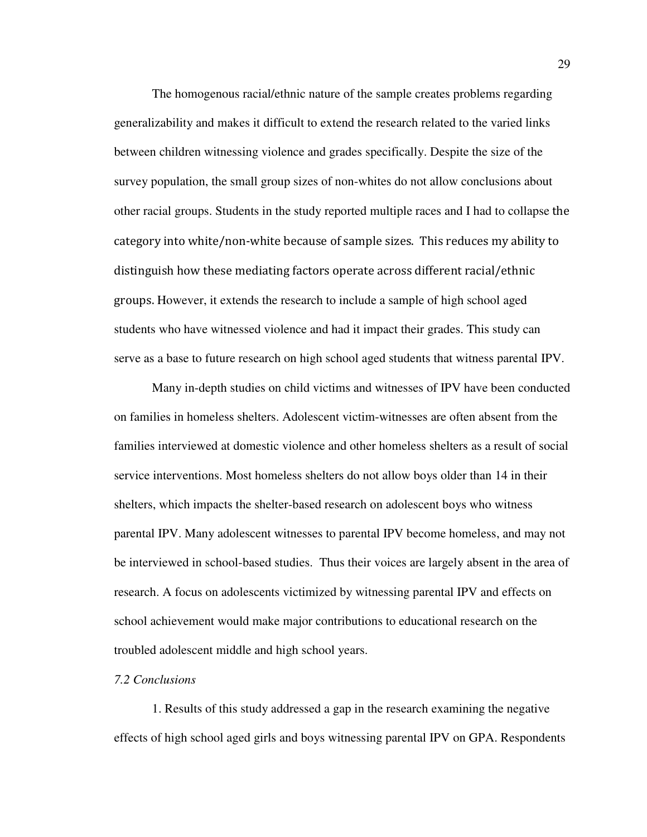The homogenous racial/ethnic nature of the sample creates problems regarding generalizability and makes it difficult to extend the research related to the varied links between children witnessing violence and grades specifically. Despite the size of the survey population, the small group sizes of non-whites do not allow conclusions about other racial groups. Students in the study reported multiple races and I had to collapse the category into white/non-white because of sample sizes. This reduces my ability to distinguish how these mediating factors operate across different racial/ethnic groups. However, it extends the research to include a sample of high school aged students who have witnessed violence and had it impact their grades. This study can serve as a base to future research on high school aged students that witness parental IPV.

Many in-depth studies on child victims and witnesses of IPV have been conducted on families in homeless shelters. Adolescent victim-witnesses are often absent from the families interviewed at domestic violence and other homeless shelters as a result of social service interventions. Most homeless shelters do not allow boys older than 14 in their shelters, which impacts the shelter-based research on adolescent boys who witness parental IPV. Many adolescent witnesses to parental IPV become homeless, and may not be interviewed in school-based studies. Thus their voices are largely absent in the area of research. A focus on adolescents victimized by witnessing parental IPV and effects on school achievement would make major contributions to educational research on the troubled adolescent middle and high school years.

#### *7.2 Conclusions*

1. Results of this study addressed a gap in the research examining the negative effects of high school aged girls and boys witnessing parental IPV on GPA. Respondents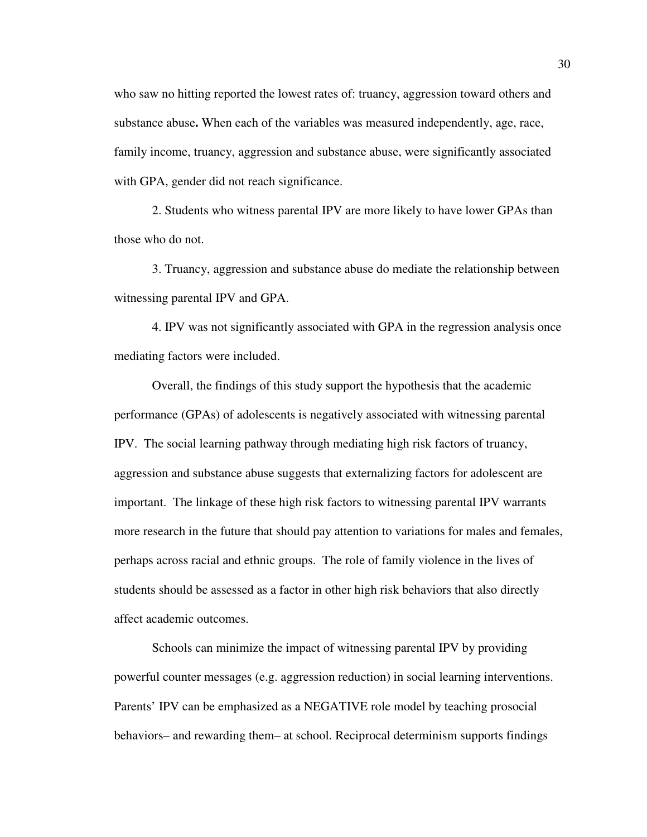who saw no hitting reported the lowest rates of: truancy, aggression toward others and substance abuse**.** When each of the variables was measured independently, age, race, family income, truancy, aggression and substance abuse, were significantly associated with GPA, gender did not reach significance.

2. Students who witness parental IPV are more likely to have lower GPAs than those who do not.

3. Truancy, aggression and substance abuse do mediate the relationship between witnessing parental IPV and GPA.

4. IPV was not significantly associated with GPA in the regression analysis once mediating factors were included.

 Overall, the findings of this study support the hypothesis that the academic performance (GPAs) of adolescents is negatively associated with witnessing parental IPV. The social learning pathway through mediating high risk factors of truancy, aggression and substance abuse suggests that externalizing factors for adolescent are important. The linkage of these high risk factors to witnessing parental IPV warrants more research in the future that should pay attention to variations for males and females, perhaps across racial and ethnic groups. The role of family violence in the lives of students should be assessed as a factor in other high risk behaviors that also directly affect academic outcomes.

Schools can minimize the impact of witnessing parental IPV by providing powerful counter messages (e.g. aggression reduction) in social learning interventions. Parents' IPV can be emphasized as a NEGATIVE role model by teaching prosocial behaviors– and rewarding them– at school. Reciprocal determinism supports findings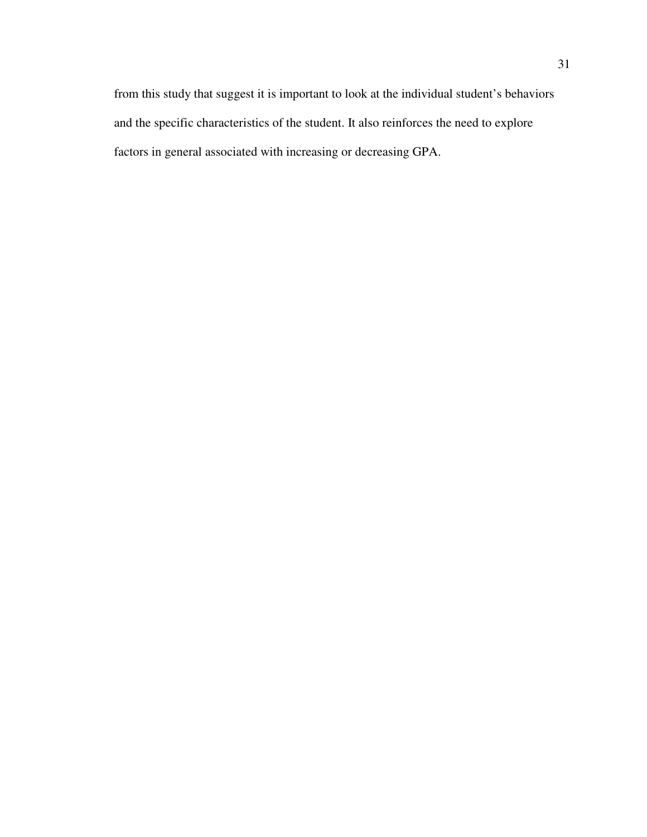from this study that suggest it is important to look at the individual student's behaviors and the specific characteristics of the student. It also reinforces the need to explore factors in general associated with increasing or decreasing GPA.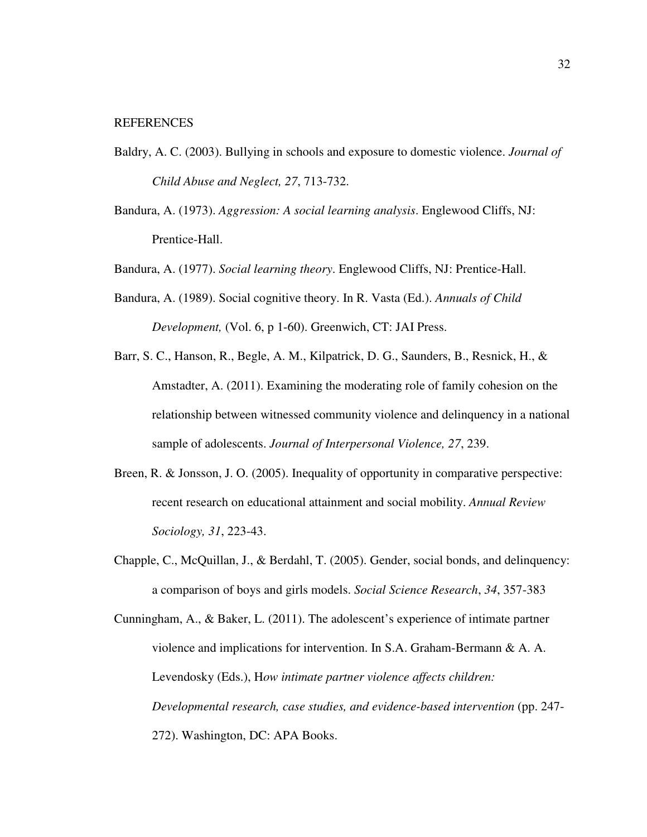- Baldry, A. C. (2003). Bullying in schools and exposure to domestic violence. *Journal of Child Abuse and Neglect, 27*, 713-732.
- Bandura, A. (1973). *Aggression: A social learning analysis*. Englewood Cliffs, NJ: Prentice-Hall.

Bandura, A. (1977). *Social learning theory*. Englewood Cliffs, NJ: Prentice-Hall.

- Bandura, A. (1989). Social cognitive theory. In R. Vasta (Ed.). *Annuals of Child Development,* (Vol. 6, p 1-60). Greenwich, CT: JAI Press.
- Barr, S. C., Hanson, R., Begle, A. M., Kilpatrick, D. G., Saunders, B., Resnick, H., & Amstadter, A. (2011). Examining the moderating role of family cohesion on the relationship between witnessed community violence and delinquency in a national sample of adolescents. *Journal of Interpersonal Violence, 27*, 239.
- Breen, R. & Jonsson, J. O. (2005). Inequality of opportunity in comparative perspective: recent research on educational attainment and social mobility. *Annual Review Sociology, 31*, 223-43.
- Chapple, C., McQuillan, J., & Berdahl, T. (2005). Gender, social bonds, and delinquency: a comparison of boys and girls models. *Social Science Research*, *34*, 357-383
- Cunningham, A., & Baker, L. (2011). The adolescent's experience of intimate partner violence and implications for intervention. In S.A. Graham-Bermann & A. A. Levendosky (Eds.), H*ow intimate partner violence affects children: Developmental research, case studies, and evidence-based intervention* (pp. 247- 272). Washington, DC: APA Books.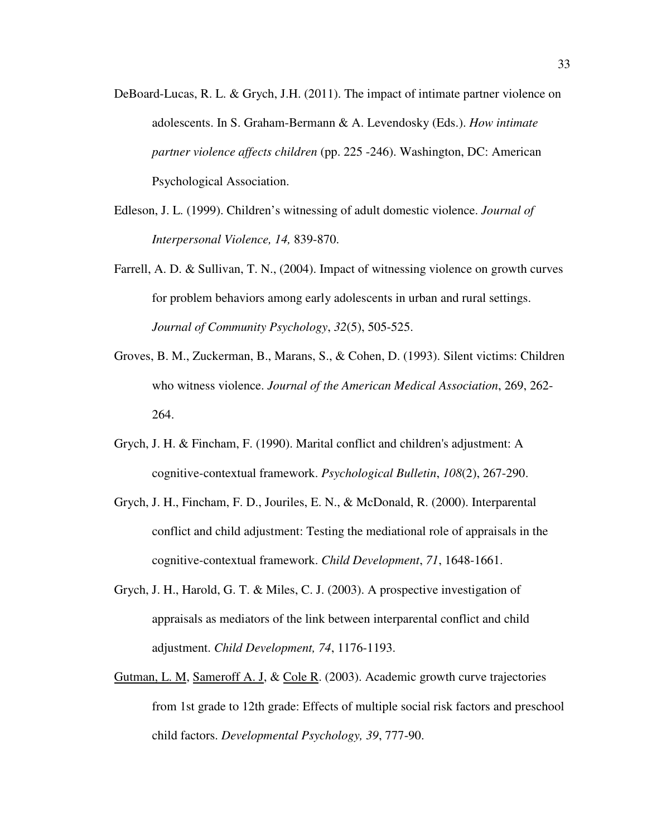- DeBoard-Lucas, R. L. & Grych, J.H. (2011). The impact of intimate partner violence on adolescents. In S. Graham-Bermann & A. Levendosky (Eds.). *How intimate partner violence affects children* (pp. 225 -246). Washington, DC: American Psychological Association.
- Edleson, J. L. (1999). Children's witnessing of adult domestic violence. *Journal of Interpersonal Violence, 14,* 839-870.
- Farrell, A. D. & Sullivan, T. N., (2004). Impact of witnessing violence on growth curves for problem behaviors among early adolescents in urban and rural settings. *Journal of Community Psychology*, *32*(5), 505-525.
- Groves, B. M., Zuckerman, B., Marans, S., & Cohen, D. (1993). Silent victims: Children who witness violence. *Journal of the American Medical Association*, 269, 262- 264.
- Grych, J. H. & Fincham, F. (1990). Marital conflict and children's adjustment: A cognitive-contextual framework. *Psychological Bulletin*, *108*(2), 267-290.
- Grych, J. H., Fincham, F. D., Jouriles, E. N., & McDonald, R. (2000). Interparental conflict and child adjustment: Testing the mediational role of appraisals in the cognitive-contextual framework. *Child Development*, *71*, 1648-1661.
- Grych, J. H., Harold, G. T. & Miles, C. J. (2003). A prospective investigation of appraisals as mediators of the link between interparental conflict and child adjustment. *Child Development, 74*, 1176-1193.
- Gutman, L. M, Sameroff A. J, & Cole R. (2003). Academic growth curve trajectories from 1st grade to 12th grade: Effects of multiple social risk factors and preschool child factors. *Developmental Psychology, 39*, 777-90.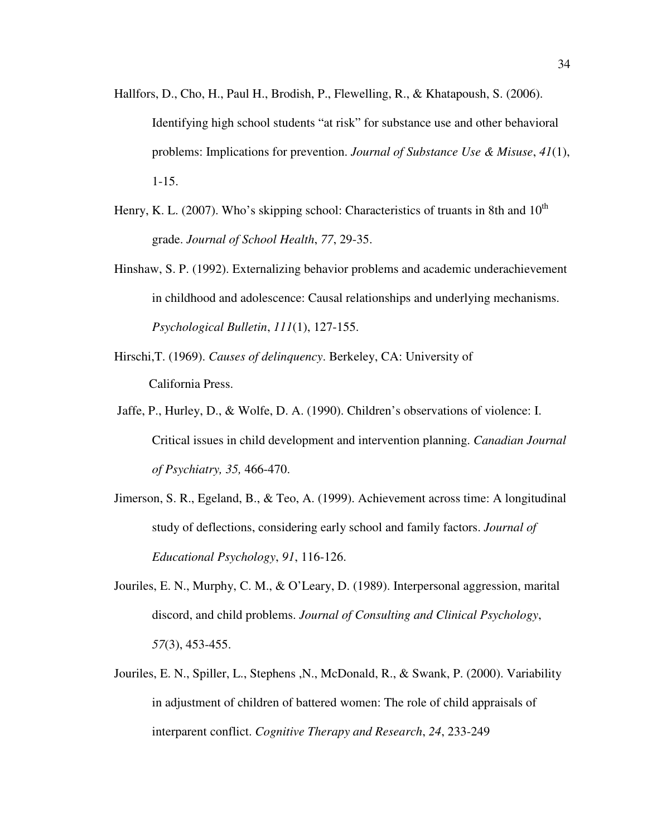- Hallfors, D., Cho, H., Paul H., Brodish, P., Flewelling, R., & Khatapoush, S. (2006). Identifying high school students "at risk" for substance use and other behavioral problems: Implications for prevention. *Journal of Substance Use & Misuse*, *41*(1), 1-15.
- Henry, K. L. (2007). Who's skipping school: Characteristics of truants in 8th and  $10^{th}$ grade. *Journal of School Health*, *77*, 29-35.
- Hinshaw, S. P. (1992). Externalizing behavior problems and academic underachievement in childhood and adolescence: Causal relationships and underlying mechanisms. *Psychological Bulletin*, *111*(1), 127-155.
- Hirschi,T. (1969). *Causes of delinquency*. Berkeley, CA: University of California Press.
- Jaffe, P., Hurley, D., & Wolfe, D. A. (1990). Children's observations of violence: I. Critical issues in child development and intervention planning. *Canadian Journal of Psychiatry, 35,* 466-470.
- Jimerson, S. R., Egeland, B., & Teo, A. (1999). Achievement across time: A longitudinal study of deflections, considering early school and family factors. *Journal of Educational Psychology*, *91*, 116-126.
- Jouriles, E. N., Murphy, C. M., & O'Leary, D. (1989). Interpersonal aggression, marital discord, and child problems. *Journal of Consulting and Clinical Psychology*, *57*(3), 453-455.
- Jouriles, E. N., Spiller, L., Stephens ,N., McDonald, R., & Swank, P. (2000). Variability in adjustment of children of battered women: The role of child appraisals of interparent conflict. *Cognitive Therapy and Research*, *24*, 233-249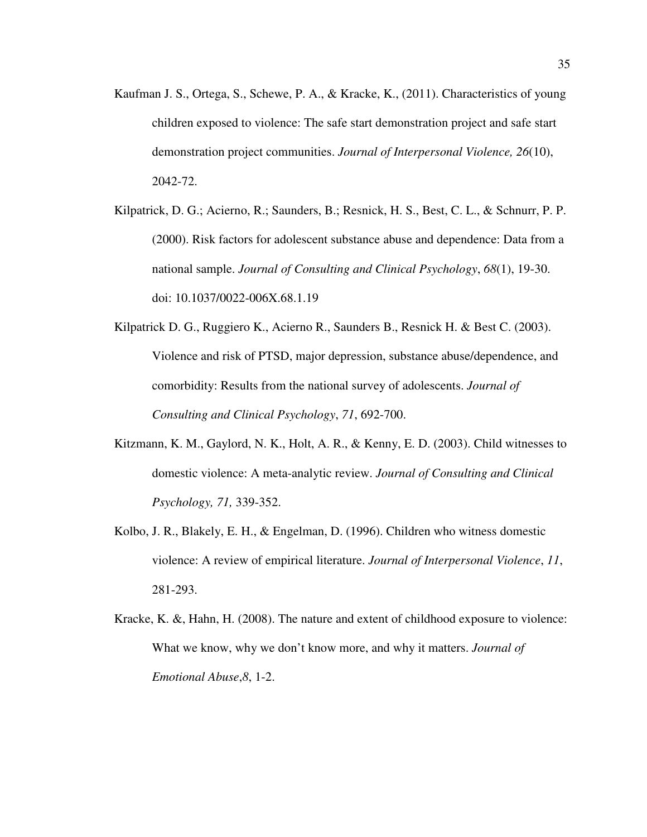- Kaufman J. S., Ortega, S., Schewe, P. A., & Kracke, K., (2011). Characteristics of young children exposed to violence: The safe start demonstration project and safe start demonstration project communities. *Journal of Interpersonal Violence, 26*(10), 2042-72.
- Kilpatrick, D. G.; Acierno, R.; Saunders, B.; Resnick, H. S., Best, C. L., & Schnurr, P. P. (2000). Risk factors for adolescent substance abuse and dependence: Data from a national sample. *Journal of Consulting and Clinical Psychology*, *68*(1), 19-30. doi: 10.1037/0022-006X.68.1.19
- Kilpatrick D. G., Ruggiero K., Acierno R., Saunders B., Resnick H. & Best C. (2003). Violence and risk of PTSD, major depression, substance abuse/dependence, and comorbidity: Results from the national survey of adolescents. *Journal of Consulting and Clinical Psychology*, *71*, 692-700.
- Kitzmann, K. M., Gaylord, N. K., Holt, A. R., & Kenny, E. D. (2003). Child witnesses to domestic violence: A meta-analytic review. *Journal of Consulting and Clinical Psychology, 71,* 339-352.
- Kolbo, J. R., Blakely, E. H., & Engelman, D. (1996). Children who witness domestic violence: A review of empirical literature. *Journal of Interpersonal Violence*, *11*, 281-293.
- Kracke, K. &, Hahn, H. (2008). The nature and extent of childhood exposure to violence: What we know, why we don't know more, and why it matters. *Journal of Emotional Abuse*,*8*, 1-2.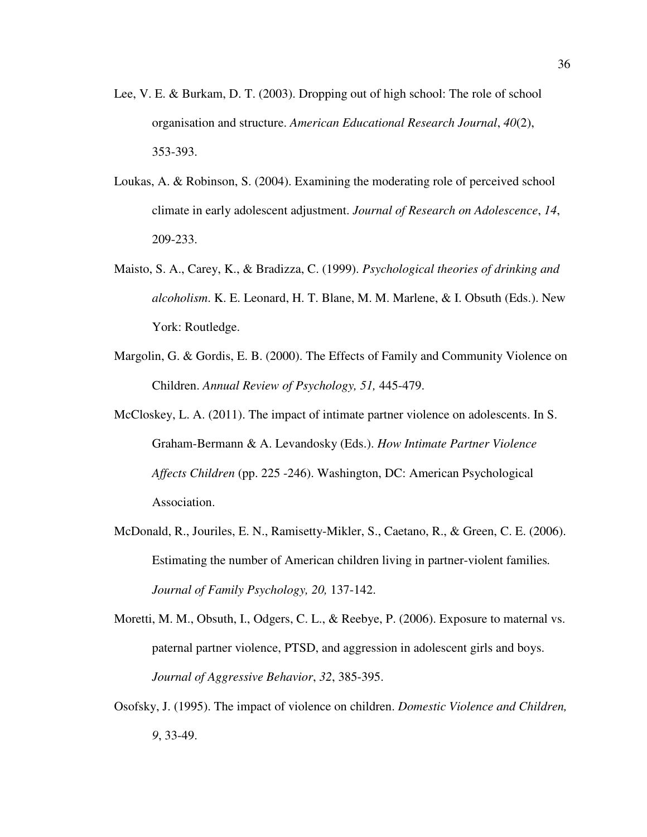- Lee, V. E. & Burkam, D. T. (2003). Dropping out of high school: The role of school organisation and structure. *American Educational Research Journal*, *40*(2), 353-393.
- Loukas, A. & Robinson, S. (2004). Examining the moderating role of perceived school climate in early adolescent adjustment. *Journal of Research on Adolescence*, *14*, 209-233.
- Maisto, S. A., Carey, K., & Bradizza, C. (1999). *Psychological theories of drinking and alcoholism*. K. E. Leonard, H. T. Blane, M. M. Marlene, & I. Obsuth (Eds.). New York: Routledge.
- Margolin, G. & Gordis, E. B. (2000). The Effects of Family and Community Violence on Children. *Annual Review of Psychology, 51,* 445-479.
- McCloskey, L. A. (2011). The impact of intimate partner violence on adolescents. In S. Graham-Bermann & A. Levandosky (Eds.). *How Intimate Partner Violence Affects Children* (pp. 225 -246). Washington, DC: American Psychological Association.
- McDonald, R., Jouriles, E. N., Ramisetty-Mikler, S., Caetano, R., & Green, C. E. (2006). Estimating the number of American children living in partner-violent families*. Journal of Family Psychology, 20,* 137-142.
- Moretti, M. M., Obsuth, I., Odgers, C. L., & Reebye, P. (2006). Exposure to maternal vs. paternal partner violence, PTSD, and aggression in adolescent girls and boys. *Journal of Aggressive Behavior*, *32*, 385-395.
- Osofsky, J. (1995). The impact of violence on children. *Domestic Violence and Children, 9*, 33-49.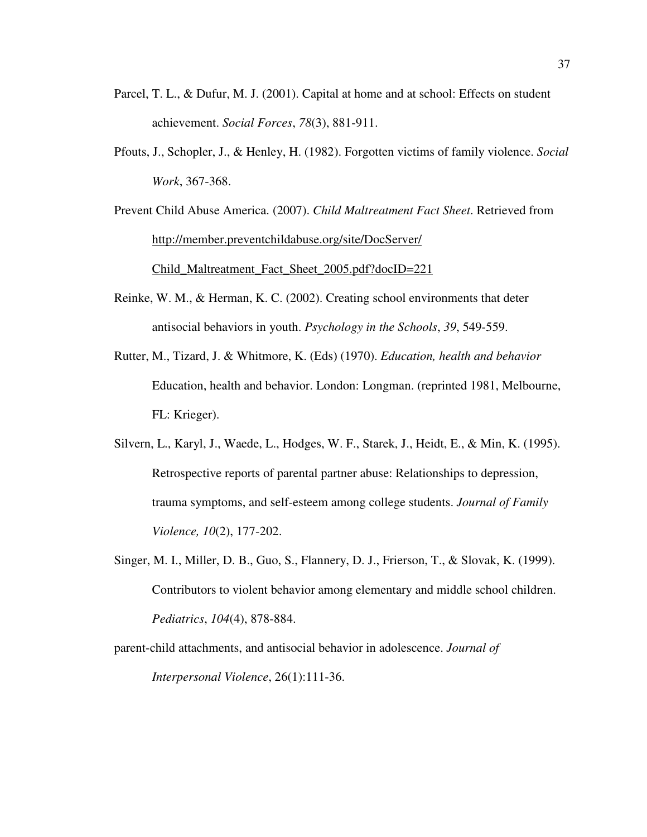- Parcel, T. L., & Dufur, M. J. (2001). Capital at home and at school: Effects on student achievement. *Social Forces*, *78*(3), 881-911.
- Pfouts, J., Schopler, J., & Henley, H. (1982). Forgotten victims of family violence. *Social Work*, 367-368.

Prevent Child Abuse America. (2007). *Child Maltreatment Fact Sheet*. Retrieved from http://member.preventchildabuse.org/site/DocServer/ Child\_Maltreatment\_Fact\_Sheet\_2005.pdf?docID=221

- Reinke, W. M., & Herman, K. C. (2002). Creating school environments that deter antisocial behaviors in youth. *Psychology in the Schools*, *39*, 549-559.
- Rutter, M., Tizard, J. & Whitmore, K. (Eds) (1970). *Education, health and behavior* Education, health and behavior. London: Longman. (reprinted 1981, Melbourne, FL: Krieger).
- Silvern, L., Karyl, J., Waede, L., Hodges, W. F., Starek, J., Heidt, E., & Min, K. (1995). Retrospective reports of parental partner abuse: Relationships to depression, trauma symptoms, and self-esteem among college students. *Journal of Family Violence, 10*(2), 177-202.
- Singer, M. I., Miller, D. B., Guo, S., Flannery, D. J., Frierson, T., & Slovak, K. (1999). Contributors to violent behavior among elementary and middle school children. *Pediatrics*, *104*(4), 878-884.

parent-child attachments, and antisocial behavior in adolescence. *Journal of Interpersonal Violence*, 26(1):111-36.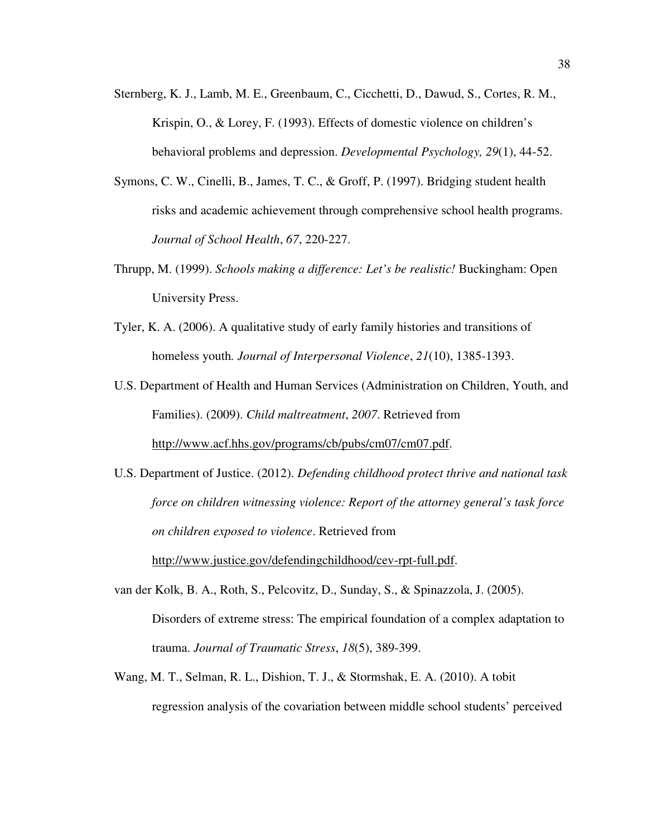- Sternberg, K. J., Lamb, M. E., Greenbaum, C., Cicchetti, D., Dawud, S., Cortes, R. M., Krispin, O., & Lorey, F. (1993). Effects of domestic violence on children's behavioral problems and depression. *Developmental Psychology, 29*(1), 44-52.
- Symons, C. W., Cinelli, B., James, T. C., & Groff, P. (1997). Bridging student health risks and academic achievement through comprehensive school health programs. *Journal of School Health*, *67*, 220-227.
- Thrupp, M. (1999). *Schools making a difference: Let's be realistic!* Buckingham: Open University Press.
- Tyler, K. A. (2006). A qualitative study of early family histories and transitions of homeless youth*. Journal of Interpersonal Violence*, *21*(10), 1385-1393.
- U.S. Department of Health and Human Services (Administration on Children, Youth, and Families). (2009). *Child maltreatment*, *2007*. Retrieved from http://www.acf.hhs.gov/programs/cb/pubs/cm07/cm07.pdf.

U.S. Department of Justice. (2012). *Defending childhood protect thrive and national task force on children witnessing violence: Report of the attorney general's task force on children exposed to violence*. Retrieved from http://www.justice.gov/defendingchildhood/cev-rpt-full.pdf.

- van der Kolk, B. A., Roth, S., Pelcovitz, D., Sunday, S., & Spinazzola, J. (2005). Disorders of extreme stress: The empirical foundation of a complex adaptation to trauma. *Journal of Traumatic Stress*, *18*(5), 389-399.
- Wang, M. T., Selman, R. L., Dishion, T. J., & Stormshak, E. A. (2010). A tobit regression analysis of the covariation between middle school students' perceived